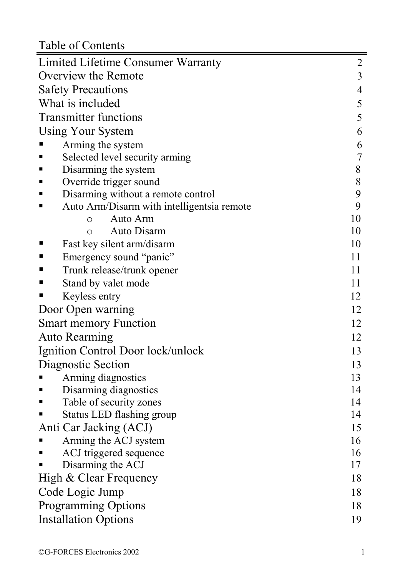Table of Contents

| Taon of Coments                                 |                |
|-------------------------------------------------|----------------|
| Limited Lifetime Consumer Warranty              | $\overline{c}$ |
| Overview the Remote                             | 3              |
| <b>Safety Precautions</b>                       | $\overline{4}$ |
| What is included                                | 5              |
| <b>Transmitter functions</b>                    | 5              |
| Using Your System                               | 6              |
| Arming the system                               | 6              |
| Selected level security arming<br>٠             | $\overline{7}$ |
| Disarming the system<br>٠                       | 8              |
| Override trigger sound                          | 8              |
| Disarming without a remote control<br>٠         | 9              |
| Auto Arm/Disarm with intelligentsia remote<br>٠ | 9              |
| Auto Arm<br>$\circ$                             | 10             |
| Auto Disarm<br>$\circ$                          | 10             |
| Fast key silent arm/disarm<br>٠                 | 10             |
| Emergency sound "panic"                         | 11             |
| Trunk release/trunk opener<br>٠                 | 11             |
| Stand by valet mode                             | 11             |
| Keyless entry                                   | 12             |
| Door Open warning                               | 12             |
| <b>Smart memory Function</b>                    | 12             |
| <b>Auto Rearming</b>                            | 12             |
| Ignition Control Door lock/unlock               | 13             |
| Diagnostic Section                              | 13             |
| Arming diagnostics                              | 13             |
| Disarming diagnostics                           | 14             |
| Table of security zones                         | 14             |
| Status LED flashing group                       | 14             |
| Anti Car Jacking (ACJ)                          | 15             |
| Arming the ACJ system                           | 16             |
| ACJ triggered sequence                          | 16             |
| Disarming the ACJ                               | 17             |
| High & Clear Frequency                          | 18             |
| Code Logic Jump                                 | 18             |
| <b>Programming Options</b>                      | 18             |
| <b>Installation Options</b>                     | 19             |
|                                                 |                |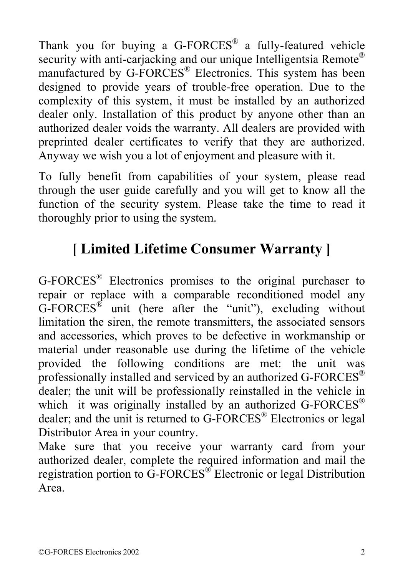Thank you for buying a G-FORCES® a fully-featured vehicle security with anti-carjacking and our unique Intelligentsia Remote® manufactured by G-FORCES® Electronics. This system has been designed to provide years of trouble-free operation. Due to the complexity of this system, it must be installed by an authorized dealer only. Installation of this product by anyone other than an authorized dealer voids the warranty. All dealers are provided with preprinted dealer certificates to verify that they are authorized. Anyway we wish you a lot of enjoyment and pleasure with it.

To fully benefit from capabilities of your system, please read through the user guide carefully and you will get to know all the function of the security system. Please take the time to read it thoroughly prior to using the system.

# **[ Limited Lifetime Consumer Warranty ]**

G-FORCES® Electronics promises to the original purchaser to repair or replace with a comparable reconditioned model any  $G$ -FORCES<sup>®</sup> unit (here after the "unit"), excluding without limitation the siren, the remote transmitters, the associated sensors and accessories, which proves to be defective in workmanship or material under reasonable use during the lifetime of the vehicle provided the following conditions are met: the unit was professionally installed and serviced by an authorized G-FORCES® dealer; the unit will be professionally reinstalled in the vehicle in which it was originally installed by an authorized G-FORCES<sup>®</sup> dealer; and the unit is returned to G-FORCES® Electronics or legal Distributor Area in your country.

Make sure that you receive your warranty card from your authorized dealer, complete the required information and mail the registration portion to  $\widehat{G}$ -FORCES<sup>®</sup> Electronic or legal Distribution Area.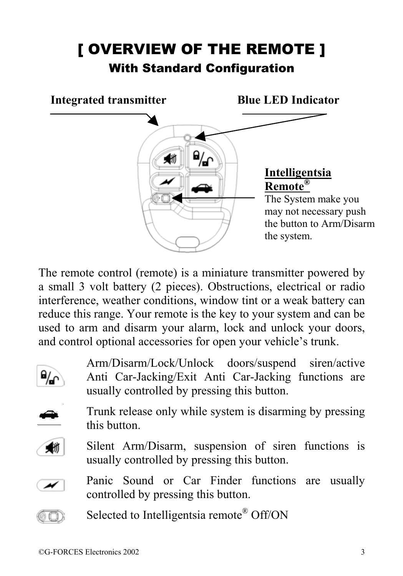# [ OVERVIEW OF THE REMOTE ] With Standard Configuration



The remote control (remote) is a miniature transmitter powered by a small 3 volt battery (2 pieces). Obstructions, electrical or radio interference, weather conditions, window tint or a weak battery can reduce this range. Your remote is the key to your system and can be used to arm and disarm your alarm, lock and unlock your doors, and control optional accessories for open your vehicle's trunk.



Arm/Disarm/Lock/Unlock doors/suspend siren/active Anti Car-Jacking/Exit Anti Car-Jacking functions are usually controlled by pressing this button.



Trunk release only while system is disarming by pressing this button.



Silent Arm/Disarm, suspension of siren functions is usually controlled by pressing this button.



60)

Panic Sound or Car Finder functions are usually controlled by pressing this button.

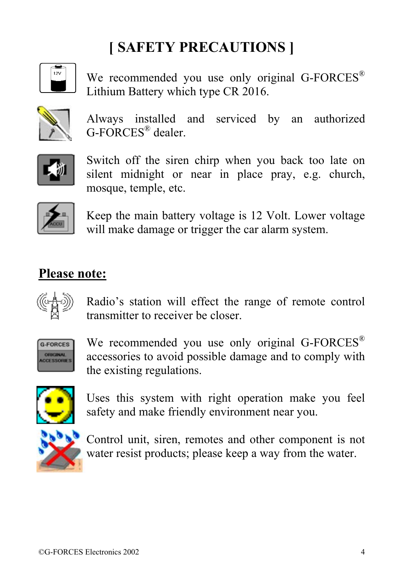# **[ SAFETY PRECAUTIONS ]**

We recommended you use only original G-FORCES<sup>®</sup> Lithium Battery which type CR 2016.



Always installed and serviced by an authorized G-FORCES® dealer.



Switch off the siren chirp when you back too late on silent midnight or near in place pray, e.g. church, mosque, temple, etc.



Keep the main battery voltage is 12 Volt. Lower voltage will make damage or trigger the car alarm system.

#### **Please note:**



Radio's station will effect the range of remote control transmitter to receiver be closer.



We recommended you use only original G-FORCES<sup>®</sup> accessories to avoid possible damage and to comply with the existing regulations.



Uses this system with right operation make you feel safety and make friendly environment near you.



Control unit, siren, remotes and other component is not water resist products; please keep a way from the water.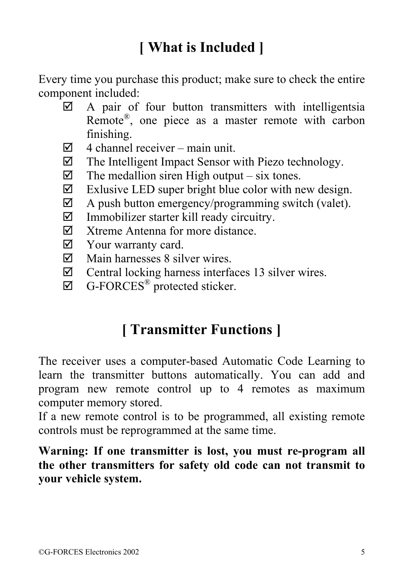# **[ What is Included ]**

Every time you purchase this product; make sure to check the entire component included:

- $\boxtimes$  A pair of four button transmitters with intelligentsia Remote®, one piece as a master remote with carbon finishing.
- $\boxtimes$  4 channel receiver main unit.
- $\boxtimes$  The Intelligent Impact Sensor with Piezo technology.
- $\triangleright$  The medallion siren High output six tones.
- $\boxtimes$  Exlusive LED super bright blue color with new design.
- $\boxtimes$  A push button emergency/programming switch (valet).
- $\triangledown$  Immobilizer starter kill ready circuitry.
- $\nabla$  Xtreme Antenna for more distance.
- $\boxtimes$  Your warranty card.
- $\nabla$  Main harnesses 8 silver wires.
- $\boxtimes$  Central locking harness interfaces 13 silver wires.
- $\boxtimes$  G-FORCES<sup>®</sup> protected sticker.

## **[ Transmitter Functions ]**

The receiver uses a computer-based Automatic Code Learning to learn the transmitter buttons automatically. You can add and program new remote control up to 4 remotes as maximum computer memory stored.

If a new remote control is to be programmed, all existing remote controls must be reprogrammed at the same time.

**Warning: If one transmitter is lost, you must re-program all the other transmitters for safety old code can not transmit to your vehicle system.**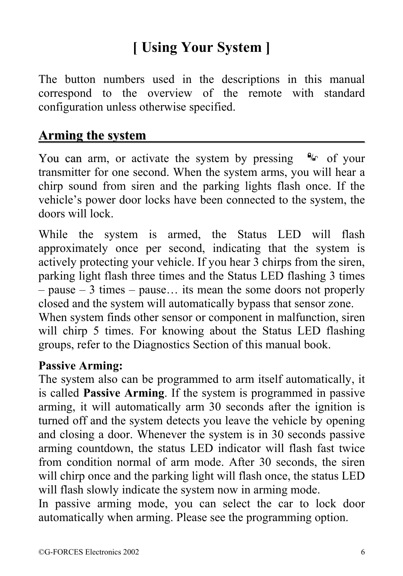## **[ Using Your System ]**

The button numbers used in the descriptions in this manual correspond to the overview of the remote with standard configuration unless otherwise specified.

#### **Arming the system \_\_\_\_\_\_\_\_\_\_\_\_\_\_\_\_\_\_\_\_\_\_\_\_\_\_\_\_\_\_\_\_**

You can arm, or activate the system by pressing  $\frac{a}{r}$  of your transmitter for one second. When the system arms, you will hear a chirp sound from siren and the parking lights flash once. If the vehicle's power door locks have been connected to the system, the doors will lock.

While the system is armed, the Status LED will flash approximately once per second, indicating that the system is actively protecting your vehicle. If you hear 3 chirps from the siren, parking light flash three times and the Status LED flashing 3 times – pause – 3 times – pause… its mean the some doors not properly closed and the system will automatically bypass that sensor zone.

When system finds other sensor or component in malfunction, siren will chirp 5 times. For knowing about the Status LED flashing groups, refer to the Diagnostics Section of this manual book.

#### **Passive Arming:**

The system also can be programmed to arm itself automatically, it is called **Passive Arming**. If the system is programmed in passive arming, it will automatically arm 30 seconds after the ignition is turned off and the system detects you leave the vehicle by opening and closing a door. Whenever the system is in 30 seconds passive arming countdown, the status LED indicator will flash fast twice from condition normal of arm mode. After 30 seconds, the siren will chirp once and the parking light will flash once, the status LED will flash slowly indicate the system now in arming mode.

In passive arming mode, you can select the car to lock door automatically when arming. Please see the programming option.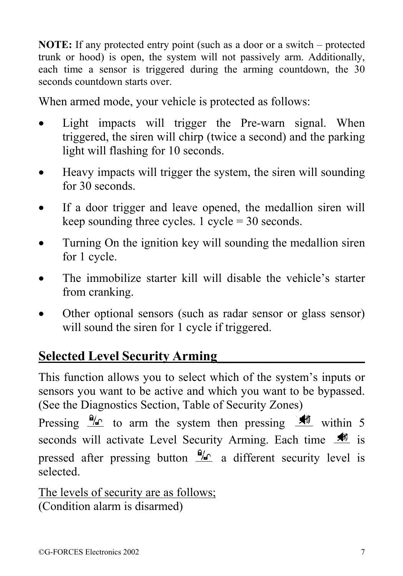**NOTE:** If any protected entry point (such as a door or a switch – protected trunk or hood) is open, the system will not passively arm. Additionally, each time a sensor is triggered during the arming countdown, the 30 seconds countdown starts over.

When armed mode, your vehicle is protected as follows:

- Light impacts will trigger the Pre-warn signal. When triggered, the siren will chirp (twice a second) and the parking light will flashing for 10 seconds.
- Heavy impacts will trigger the system, the siren will sounding for 30 seconds.
- If a door trigger and leave opened, the medallion siren will keep sounding three cycles.  $1 \text{ cycle} = 30 \text{ seconds.}$
- Turning On the ignition key will sounding the medallion siren for 1 cycle.
- The immobilize starter kill will disable the vehicle's starter from cranking.
- Other optional sensors (such as radar sensor or glass sensor) will sound the siren for 1 cycle if triggered.

#### **Selected Level Security Arming\_\_\_\_\_\_\_\_\_\_\_\_\_\_\_\_\_\_\_\_\_\_**

This function allows you to select which of the system's inputs or sensors you want to be active and which you want to be bypassed. (See the Diagnostics Section, Table of Security Zones)

Pressing  $\frac{w}{r}$  to arm the system then pressing  $\frac{w}{r}$  within 5 seconds will activate Level Security Arming. Each time  $\frac{1}{\sqrt{2}}$  is pressed after pressing button  $\frac{a}{r}$  a different security level is selected.

The levels of security are as follows; (Condition alarm is disarmed)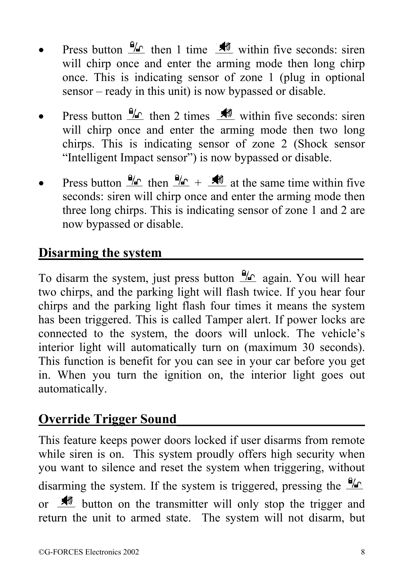- Press button  $\frac{\Theta}{n}$  then 1 time  $\frac{\Theta}{n}$  within five seconds: siren will chirp once and enter the arming mode then long chirp once. This is indicating sensor of zone 1 (plug in optional sensor – ready in this unit) is now bypassed or disable.
- Press button  $\frac{\partial u}{\partial x}$  then 2 times  $\frac{\partial u}{\partial y}$  within five seconds: siren will chirp once and enter the arming mode then two long chirps. This is indicating sensor of zone 2 (Shock sensor "Intelligent Impact sensor") is now bypassed or disable.
- Press button  $\frac{\Theta}{\Theta}$  then  $\frac{\Theta}{\Theta}$  +  $\frac{\Theta}{\Theta}$  at the same time within five seconds: siren will chirp once and enter the arming mode then three long chirps. This is indicating sensor of zone 1 and 2 are now bypassed or disable.

#### **Disarming the system\_\_\_\_\_\_\_\_\_\_\_\_\_\_\_\_\_\_\_\_\_\_\_\_\_\_\_\_\_\_**

To disarm the system, just press button  $\frac{a}{c}$  again. You will hear two chirps, and the parking light will flash twice. If you hear four chirps and the parking light flash four times it means the system has been triggered. This is called Tamper alert. If power locks are connected to the system, the doors will unlock. The vehicle's interior light will automatically turn on (maximum 30 seconds). This function is benefit for you can see in your car before you get in. When you turn the ignition on, the interior light goes out automatically.

#### **Override Trigger Sound\_\_\_\_\_\_\_\_\_\_\_\_\_\_\_\_\_\_\_\_\_\_\_\_\_\_\_\_**

This feature keeps power doors locked if user disarms from remote while siren is on. This system proudly offers high security when you want to silence and reset the system when triggering, without disarming the system. If the system is triggered, pressing the  $\frac{\theta}{n}$ or  $\frac{1}{\sqrt{2}}$  button on the transmitter will only stop the trigger and return the unit to armed state. The system will not disarm, but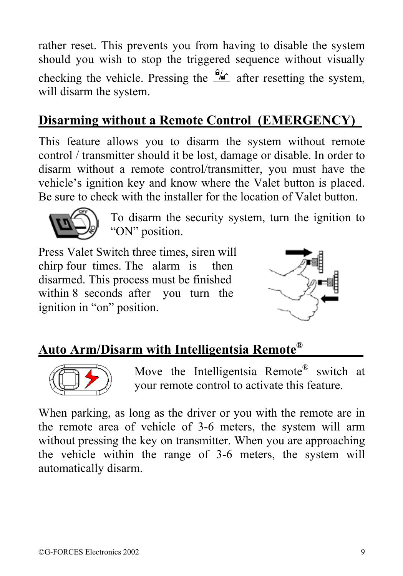rather reset. This prevents you from having to disable the system should you wish to stop the triggered sequence without visually checking the vehicle. Pressing the  $\frac{\omega_{\rho}}{\sqrt{n}}$  after resetting the system, will disarm the system.

## **Disarming without a Remote Control\_(EMERGENCY)\_**

This feature allows you to disarm the system without remote control / transmitter should it be lost, damage or disable. In order to disarm without a remote control/transmitter, you must have the vehicle's ignition key and know where the Valet button is placed. Be sure to check with the installer for the location of Valet button.



To disarm the security system, turn the ignition to "ON" position.

Press Valet Switch three times, siren will chirp four times. The alarm is then disarmed. This process must be finished within 8 seconds after you turn the ignition in "on" position.



### **Auto Arm/Disarm with Intelligentsia Remote®\_\_\_\_\_\_\_\_\_**



 Move the Intelligentsia Remote® switch at your remote control to activate this feature.

When parking, as long as the driver or you with the remote are in the remote area of vehicle of 3-6 meters, the system will arm without pressing the key on transmitter. When you are approaching the vehicle within the range of 3-6 meters, the system will automatically disarm.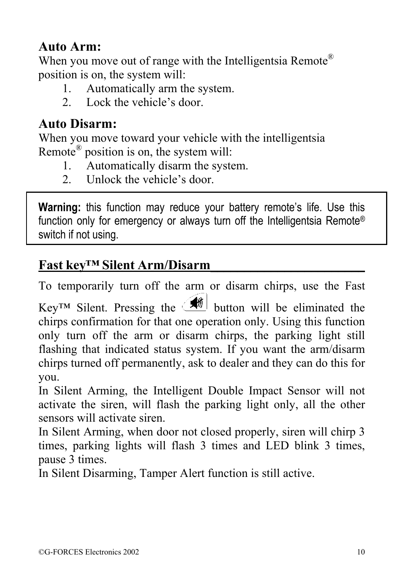#### **Auto Arm:**

When you move out of range with the Intelligentsia Remote<sup>®</sup> position is on, the system will:

- 1. Automatically arm the system.
- 2. Lock the vehicle's door.

### **Auto Disarm:**

When you move toward your vehicle with the intelligentsia Remote® position is on, the system will:

- 1. Automatically disarm the system.
- 2. Unlock the vehicle's door.

**Warning:** this function may reduce your battery remote's life. Use this function only for emergency or always turn off the Intelligentsia Remote® switch if not using.

#### **Fast key™ Silent Arm/Disarm\_\_\_\_\_\_\_\_\_\_\_\_\_\_\_\_\_\_\_\_\_\_\_**

To temporarily turn off the arm or disarm chirps, use the Fast Key™ Silent. Pressing the  $\circ$  button will be eliminated the chirps confirmation for that one operation only. Using this function only turn off the arm or disarm chirps, the parking light still flashing that indicated status system. If you want the arm/disarm chirps turned off permanently, ask to dealer and they can do this for you.

In Silent Arming, the Intelligent Double Impact Sensor will not activate the siren, will flash the parking light only, all the other sensors will activate siren.

In Silent Arming, when door not closed properly, siren will chirp 3 times, parking lights will flash 3 times and LED blink 3 times, pause 3 times.

In Silent Disarming, Tamper Alert function is still active.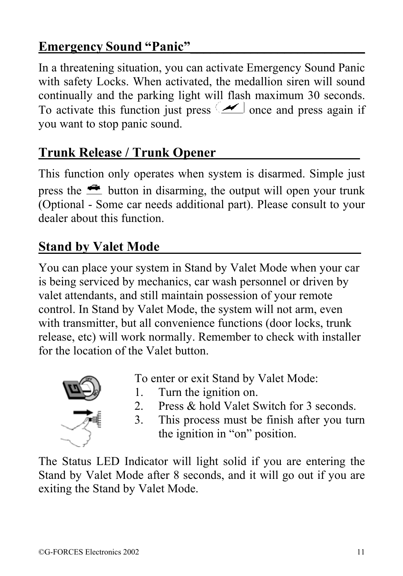#### **Emergency Sound "Panic"\_\_\_\_\_\_\_\_\_\_\_\_\_\_\_\_\_\_\_\_\_\_\_\_\_\_**

In a threatening situation, you can activate Emergency Sound Panic with safety Locks. When activated, the medallion siren will sound continually and the parking light will flash maximum 30 seconds. To activate this function just press  $\left( \frac{\cdot}{\cdot} \right)$  once and press again if you want to stop panic sound.

## **Trunk Release / Trunk Opener\_\_\_\_\_\_\_\_\_\_\_\_\_\_\_\_\_\_\_\_\_\_\_\_**

This function only operates when system is disarmed. Simple just press the  $\triangle$  button in disarming, the output will open your trunk (Optional - Some car needs additional part). Please consult to your dealer about this function.

#### **Stand by Valet Mode\_\_\_\_\_\_\_\_\_\_\_\_\_\_\_\_\_\_\_\_\_\_\_\_\_\_\_\_\_\_**

You can place your system in Stand by Valet Mode when your car is being serviced by mechanics, car wash personnel or driven by valet attendants, and still maintain possession of your remote control. In Stand by Valet Mode, the system will not arm, even with transmitter, but all convenience functions (door locks, trunk) release, etc) will work normally. Remember to check with installer for the location of the Valet button.



- To enter or exit Stand by Valet Mode:
- 1. Turn the ignition on.
- 2. Press & hold Valet Switch for 3 seconds.
- 3. This process must be finish after you turn the ignition in "on" position.

The Status LED Indicator will light solid if you are entering the Stand by Valet Mode after 8 seconds, and it will go out if you are exiting the Stand by Valet Mode.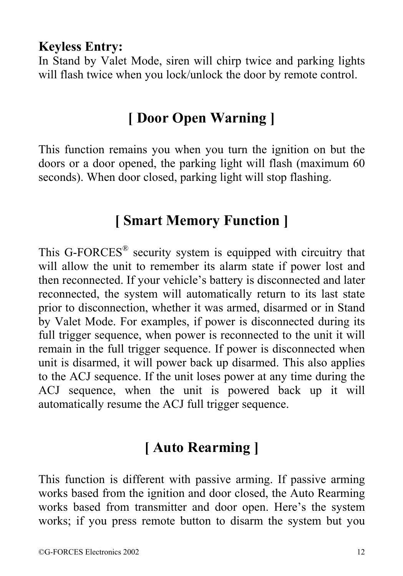#### **Keyless Entry:**

In Stand by Valet Mode, siren will chirp twice and parking lights will flash twice when you lock/unlock the door by remote control.

## **[ Door Open Warning ]**

This function remains you when you turn the ignition on but the doors or a door opened, the parking light will flash (maximum 60 seconds). When door closed, parking light will stop flashing.

### **[ Smart Memory Function ]**

This G-FORCES® security system is equipped with circuitry that will allow the unit to remember its alarm state if power lost and then reconnected. If your vehicle's battery is disconnected and later reconnected, the system will automatically return to its last state prior to disconnection, whether it was armed, disarmed or in Stand by Valet Mode. For examples, if power is disconnected during its full trigger sequence, when power is reconnected to the unit it will remain in the full trigger sequence. If power is disconnected when unit is disarmed, it will power back up disarmed. This also applies to the ACJ sequence. If the unit loses power at any time during the ACJ sequence, when the unit is powered back up it will automatically resume the ACJ full trigger sequence.

## **[ Auto Rearming ]**

This function is different with passive arming. If passive arming works based from the ignition and door closed, the Auto Rearming works based from transmitter and door open. Here's the system works; if you press remote button to disarm the system but you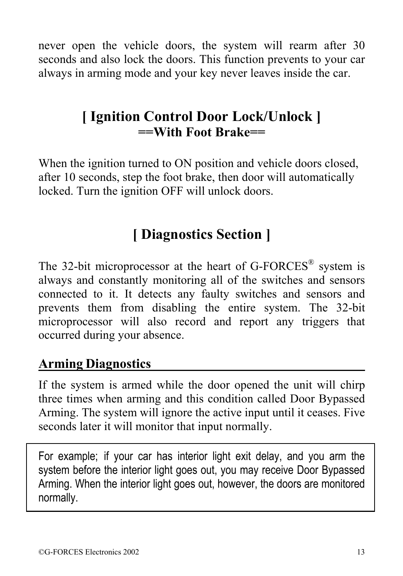never open the vehicle doors, the system will rearm after 30 seconds and also lock the doors. This function prevents to your car always in arming mode and your key never leaves inside the car.

## **[ Ignition Control Door Lock/Unlock ] ==With Foot Brake==**

When the ignition turned to ON position and vehicle doors closed, after 10 seconds, step the foot brake, then door will automatically locked. Turn the ignition OFF will unlock doors.

## **[ Diagnostics Section ]**

The 32-bit microprocessor at the heart of G-FORCES<sup>®</sup> system is always and constantly monitoring all of the switches and sensors connected to it. It detects any faulty switches and sensors and prevents them from disabling the entire system. The 32-bit microprocessor will also record and report any triggers that occurred during your absence.

#### **Arming Diagnostics\_\_\_\_\_\_\_\_\_\_\_\_\_\_\_\_\_\_\_\_\_\_\_\_\_\_\_\_\_\_\_\_**

If the system is armed while the door opened the unit will chirp three times when arming and this condition called Door Bypassed Arming. The system will ignore the active input until it ceases. Five seconds later it will monitor that input normally.

For example; if your car has interior light exit delay, and you arm the system before the interior light goes out, you may receive Door Bypassed Arming. When the interior light goes out, however, the doors are monitored normally.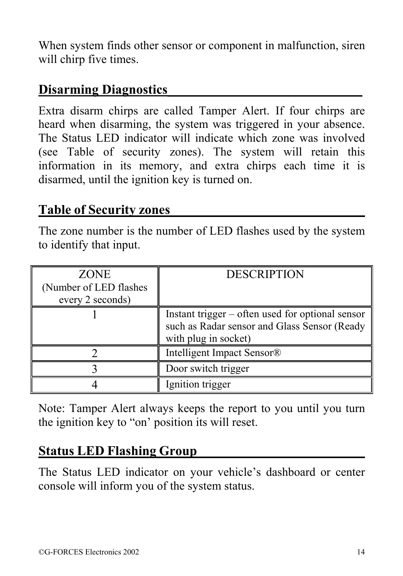When system finds other sensor or component in malfunction, siren will chirp five times.

#### **Disarming Diagnostics\_\_\_\_\_\_\_\_\_\_\_\_\_\_\_\_\_\_\_\_\_\_\_\_\_\_\_\_\_**

Extra disarm chirps are called Tamper Alert. If four chirps are heard when disarming, the system was triggered in your absence. The Status LED indicator will indicate which zone was involved (see Table of security zones). The system will retain this information in its memory, and extra chirps each time it is disarmed, until the ignition key is turned on.

#### **Table of Security zones\_\_\_\_\_\_\_\_\_\_\_\_\_\_\_\_\_\_\_\_\_\_\_\_\_\_\_\_\_**

The zone number is the number of LED flashes used by the system to identify that input.

| <b>ZONE</b><br>(Number of LED flashes)<br>every 2 seconds) | <b>DESCRIPTION</b>                                                                                                       |
|------------------------------------------------------------|--------------------------------------------------------------------------------------------------------------------------|
|                                                            | Instant trigger – often used for optional sensor<br>such as Radar sensor and Glass Sensor (Ready<br>with plug in socket) |
|                                                            | Intelligent Impact Sensor®                                                                                               |
|                                                            | Door switch trigger                                                                                                      |
|                                                            | Ignition trigger                                                                                                         |

Note: Tamper Alert always keeps the report to you until you turn the ignition key to "on' position its will reset.

#### **Status LED Flashing Group\_\_\_\_\_\_\_\_\_\_\_\_\_\_\_\_\_\_\_\_\_\_\_\_\_**

The Status LED indicator on your vehicle's dashboard or center console will inform you of the system status.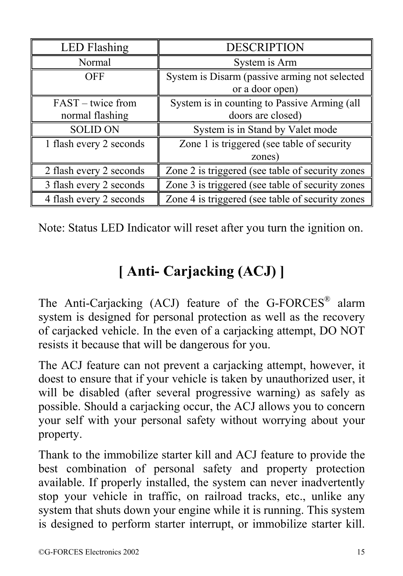| <b>LED</b> Flashing                  | <b>DESCRIPTION</b>                                                |
|--------------------------------------|-------------------------------------------------------------------|
| Normal                               | System is Arm                                                     |
| <b>OFF</b>                           | System is Disarm (passive arming not selected<br>or a door open)  |
| FAST – twice from<br>normal flashing | System is in counting to Passive Arming (all<br>doors are closed) |
| <b>SOLID ON</b>                      | System is in Stand by Valet mode                                  |
| 1 flash every 2 seconds              | Zone 1 is triggered (see table of security<br>zones)              |
| 2 flash every 2 seconds              | Zone 2 is triggered (see table of security zones                  |
| 3 flash every 2 seconds              | Zone 3 is triggered (see table of security zones                  |
| 4 flash every 2 seconds              | Zone 4 is triggered (see table of security zones)                 |

Note: Status LED Indicator will reset after you turn the ignition on.

# **[ Anti- Carjacking (ACJ) ]**

The Anti-Carjacking (ACJ) feature of the G-FORCES<sup>®</sup> alarm system is designed for personal protection as well as the recovery of carjacked vehicle. In the even of a carjacking attempt, DO NOT resists it because that will be dangerous for you.

The ACJ feature can not prevent a carjacking attempt, however, it doest to ensure that if your vehicle is taken by unauthorized user, it will be disabled (after several progressive warning) as safely as possible. Should a carjacking occur, the ACJ allows you to concern your self with your personal safety without worrying about your property.

Thank to the immobilize starter kill and ACJ feature to provide the best combination of personal safety and property protection available. If properly installed, the system can never inadvertently stop your vehicle in traffic, on railroad tracks, etc., unlike any system that shuts down your engine while it is running. This system is designed to perform starter interrupt, or immobilize starter kill.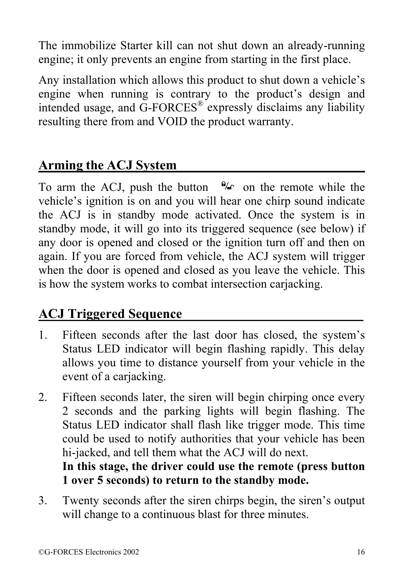The immobilize Starter kill can not shut down an already-running engine; it only prevents an engine from starting in the first place.

Any installation which allows this product to shut down a vehicle's engine when running is contrary to the product's design and intended usage, and  $\overline{G}$ -FORCES<sup>®</sup> expressly disclaims any liability resulting there from and VOID the product warranty.

#### **Arming the ACJ System\_\_\_\_\_\_\_\_\_\_\_\_\_\_\_\_\_\_\_\_\_\_\_\_\_\_\_\_**

To arm the ACJ, push the button  $\mathcal{H}_0$  on the remote while the vehicle's ignition is on and you will hear one chirp sound indicate the ACJ is in standby mode activated. Once the system is in standby mode, it will go into its triggered sequence (see below) if any door is opened and closed or the ignition turn off and then on again. If you are forced from vehicle, the ACJ system will trigger when the door is opened and closed as you leave the vehicle. This is how the system works to combat intersection carjacking.

#### **ACJ Triggered Sequence\_\_\_\_\_\_\_\_\_\_\_\_\_\_\_\_\_\_\_\_\_\_\_\_\_\_\_**

- 1. Fifteen seconds after the last door has closed, the system's Status LED indicator will begin flashing rapidly. This delay allows you time to distance yourself from your vehicle in the event of a carjacking.
- 2. Fifteen seconds later, the siren will begin chirping once every 2 seconds and the parking lights will begin flashing. The Status LED indicator shall flash like trigger mode. This time could be used to notify authorities that your vehicle has been hi-jacked, and tell them what the ACJ will do next.

**In this stage, the driver could use the remote (press button 1 over 5 seconds) to return to the standby mode.**

3. Twenty seconds after the siren chirps begin, the siren's output will change to a continuous blast for three minutes.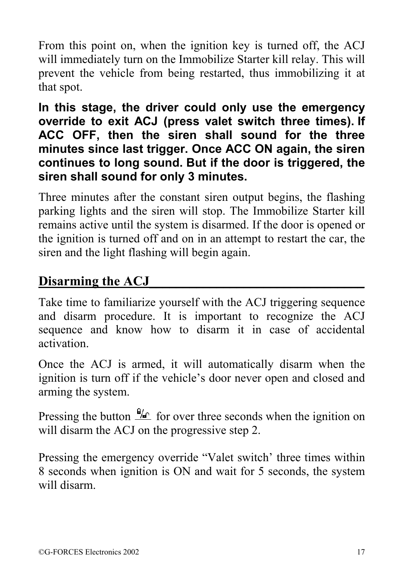From this point on, when the ignition key is turned off, the ACJ will immediately turn on the Immobilize Starter kill relay. This will prevent the vehicle from being restarted, thus immobilizing it at that spot.

**In this stage, the driver could only use the emergency override to exit ACJ (press valet switch three times). If ACC OFF, then the siren shall sound for the three minutes since last trigger. Once ACC ON again, the siren continues to long sound. But if the door is triggered, the siren shall sound for only 3 minutes.** 

Three minutes after the constant siren output begins, the flashing parking lights and the siren will stop. The Immobilize Starter kill remains active until the system is disarmed. If the door is opened or the ignition is turned off and on in an attempt to restart the car, the siren and the light flashing will begin again.

#### Disarming the **ACJ**

Take time to familiarize yourself with the ACJ triggering sequence and disarm procedure. It is important to recognize the ACJ sequence and know how to disarm it in case of accidental activation.

Once the ACJ is armed, it will automatically disarm when the ignition is turn off if the vehicle's door never open and closed and arming the system.

Pressing the button  $\frac{6}{6}$  for over three seconds when the ignition on will disarm the ACJ on the progressive step 2.

Pressing the emergency override "Valet switch' three times within 8 seconds when ignition is ON and wait for 5 seconds, the system will disarm.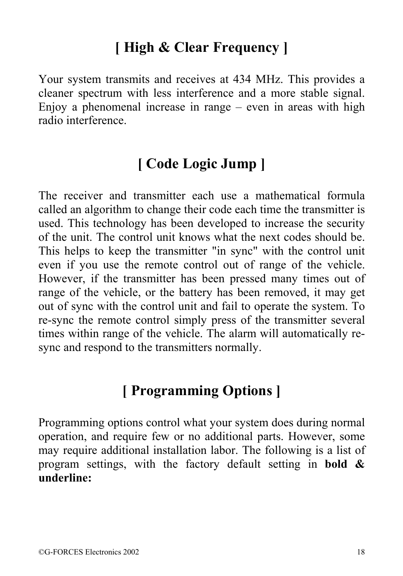## **[ High & Clear Frequency ]**

Your system transmits and receives at 434 MHz. This provides a cleaner spectrum with less interference and a more stable signal. Enjoy a phenomenal increase in range – even in areas with high radio interference.

## **[ Code Logic Jump ]**

The receiver and transmitter each use a mathematical formula called an algorithm to change their code each time the transmitter is used. This technology has been developed to increase the security of the unit. The control unit knows what the next codes should be. This helps to keep the transmitter "in sync" with the control unit even if you use the remote control out of range of the vehicle. However, if the transmitter has been pressed many times out of range of the vehicle, or the battery has been removed, it may get out of sync with the control unit and fail to operate the system. To re-sync the remote control simply press of the transmitter several times within range of the vehicle. The alarm will automatically resync and respond to the transmitters normally.

## **[ Programming Options ]**

Programming options control what your system does during normal operation, and require few or no additional parts. However, some may require additional installation labor. The following is a list of program settings, with the factory default setting in **bold & underline:**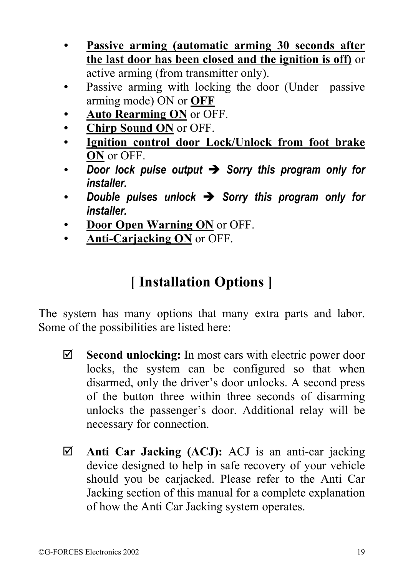- **Passive arming (automatic arming 30 seconds after the last door has been closed and the ignition is off)** or active arming (from transmitter only).
- Passive arming with locking the door (Under passive arming mode) ON or **OFF**
- **Auto Rearming ON** or OFF.
- **Chirp Sound ON** or OFF.
- **Ignition control door Lock/Unlock from foot brake ON** or OFF.
- Door lock pulse output  $\rightarrow$  Sorry this program only for *installer.*
- Double pulses unlock  $\rightarrow$  Sorry this program only for *installer.*
- **Door Open Warning ON** or OFF.
- **Anti-Carjacking ON** or OFF.

## **[ Installation Options ]**

The system has many options that many extra parts and labor. Some of the possibilities are listed here:

- ; **Second unlocking:** In most cars with electric power door locks, the system can be configured so that when disarmed, only the driver's door unlocks. A second press of the button three within three seconds of disarming unlocks the passenger's door. Additional relay will be necessary for connection.
- ; **Anti Car Jacking (ACJ):** ACJ is an anti-car jacking device designed to help in safe recovery of your vehicle should you be carjacked. Please refer to the Anti Car Jacking section of this manual for a complete explanation of how the Anti Car Jacking system operates.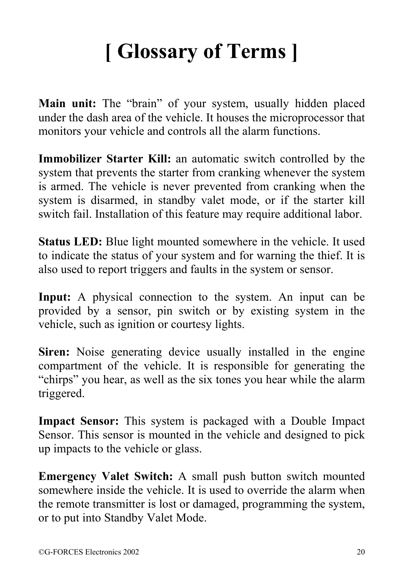# **[ Glossary of Terms ]**

**Main unit:** The "brain" of your system, usually hidden placed under the dash area of the vehicle. It houses the microprocessor that monitors your vehicle and controls all the alarm functions.

**Immobilizer Starter Kill:** an automatic switch controlled by the system that prevents the starter from cranking whenever the system is armed. The vehicle is never prevented from cranking when the system is disarmed, in standby valet mode, or if the starter kill switch fail. Installation of this feature may require additional labor.

**Status LED:** Blue light mounted somewhere in the vehicle. It used to indicate the status of your system and for warning the thief. It is also used to report triggers and faults in the system or sensor.

**Input:** A physical connection to the system. An input can be provided by a sensor, pin switch or by existing system in the vehicle, such as ignition or courtesy lights.

**Siren:** Noise generating device usually installed in the engine compartment of the vehicle. It is responsible for generating the "chirps" you hear, as well as the six tones you hear while the alarm triggered.

**Impact Sensor:** This system is packaged with a Double Impact Sensor. This sensor is mounted in the vehicle and designed to pick up impacts to the vehicle or glass.

**Emergency Valet Switch:** A small push button switch mounted somewhere inside the vehicle. It is used to override the alarm when the remote transmitter is lost or damaged, programming the system, or to put into Standby Valet Mode.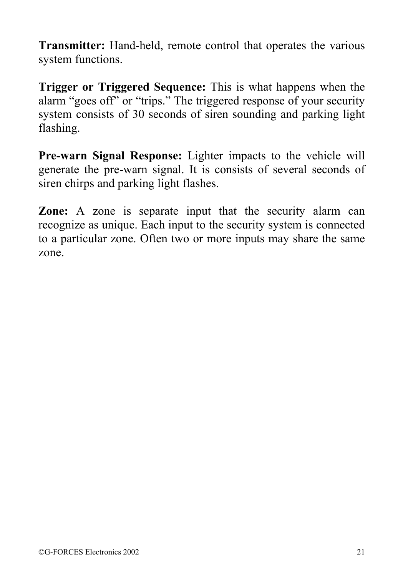**Transmitter:** Hand-held, remote control that operates the various system functions.

**Trigger or Triggered Sequence:** This is what happens when the alarm "goes off" or "trips." The triggered response of your security system consists of 30 seconds of siren sounding and parking light flashing.

**Pre-warn Signal Response:** Lighter impacts to the vehicle will generate the pre-warn signal. It is consists of several seconds of siren chirps and parking light flashes.

**Zone:** A zone is separate input that the security alarm can recognize as unique. Each input to the security system is connected to a particular zone. Often two or more inputs may share the same zone.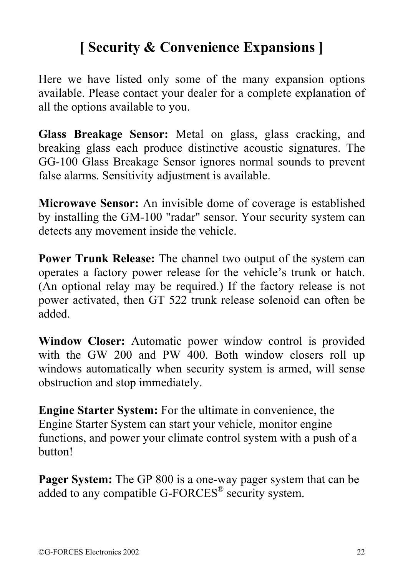## **[ Security & Convenience Expansions ]**

Here we have listed only some of the many expansion options available. Please contact your dealer for a complete explanation of all the options available to you.

**Glass Breakage Sensor:** Metal on glass, glass cracking, and breaking glass each produce distinctive acoustic signatures. The GG-100 Glass Breakage Sensor ignores normal sounds to prevent false alarms. Sensitivity adjustment is available.

**Microwave Sensor:** An invisible dome of coverage is established by installing the GM-100 "radar" sensor. Your security system can detects any movement inside the vehicle.

**Power Trunk Release:** The channel two output of the system can operates a factory power release for the vehicle's trunk or hatch. (An optional relay may be required.) If the factory release is not power activated, then GT 522 trunk release solenoid can often be added.

**Window Closer:** Automatic power window control is provided with the GW 200 and PW 400. Both window closers roll up windows automatically when security system is armed, will sense obstruction and stop immediately.

**Engine Starter System:** For the ultimate in convenience, the Engine Starter System can start your vehicle, monitor engine functions, and power your climate control system with a push of a button!

**Pager System:** The GP 800 is a one-way pager system that can be added to any compatible G-FORCES® security system.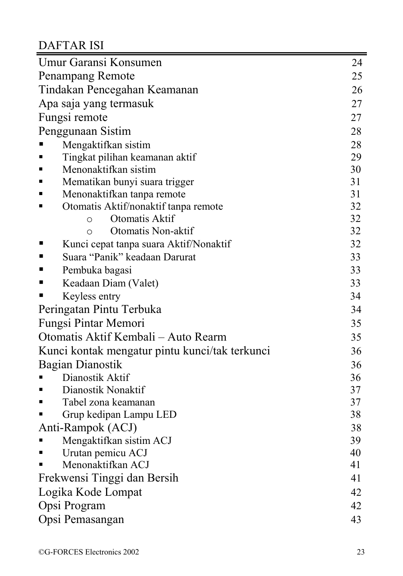# DAFTAR ISI

| Umur Garansi Konsumen                                    | 24 |
|----------------------------------------------------------|----|
| Penampang Remote                                         | 25 |
| Tindakan Pencegahan Keamanan                             | 26 |
| Apa saja yang termasuk                                   | 27 |
| Fungsi remote                                            | 27 |
| Penggunaan Sistim                                        | 28 |
| Mengaktifkan sistim                                      | 28 |
| Tingkat pilihan keamanan aktif<br>٠                      | 29 |
| Menonaktifkan sistim<br>٠                                | 30 |
| Mematikan bunyi suara trigger<br>٠                       | 31 |
| Menonaktifkan tanpa remote<br>٠                          | 31 |
| Otomatis Aktif/nonaktif tanpa remote<br>Е                | 32 |
| Otomatis Aktif<br>$\circ$                                | 32 |
| Otomatis Non-aktif<br>$\circ$                            | 32 |
| $\blacksquare$<br>Kunci cepat tanpa suara Aktif/Nonaktif | 32 |
| Suara "Panik" keadaan Darurat<br>$\blacksquare$          | 33 |
| $\blacksquare$<br>Pembuka bagasi                         | 33 |
| ٠<br>Keadaan Diam (Valet)                                | 33 |
| Keyless entry                                            | 34 |
| Peringatan Pintu Terbuka                                 | 34 |
| Fungsi Pintar Memori                                     | 35 |
| Otomatis Aktif Kembali – Auto Rearm                      | 35 |
| Kunci kontak mengatur pintu kunci/tak terkunci           | 36 |
| Bagian Dianostik                                         | 36 |
| Dianostik Aktif                                          | 36 |
| Dianostik Nonaktif<br>٠                                  | 37 |
| Tabel zona keamanan<br>٠                                 | 37 |
| Grup kedipan Lampu LED                                   | 38 |
| Anti-Rampok (ACJ)                                        | 38 |
| Mengaktifkan sistim ACJ                                  | 39 |
| Urutan pemicu ACJ<br>٠                                   | 40 |
| Menonaktifkan ACJ                                        | 41 |
| Frekwensi Tinggi dan Bersih                              | 41 |
| Logika Kode Lompat                                       | 42 |
| Opsi Program                                             | 42 |
| Opsi Pemasangan                                          | 43 |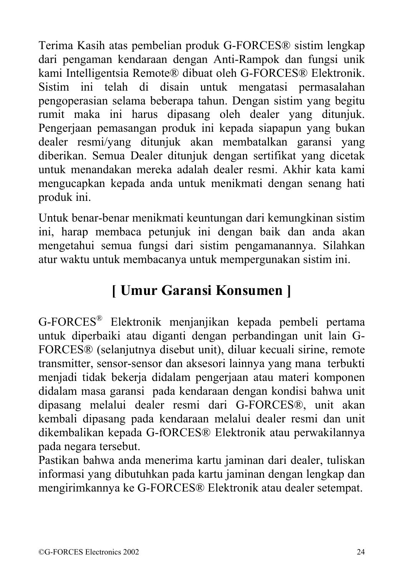Terima Kasih atas pembelian produk G-FORCES® sistim lengkap dari pengaman kendaraan dengan Anti-Rampok dan fungsi unik kami Intelligentsia Remote® dibuat oleh G-FORCES® Elektronik. Sistim ini telah di disain untuk mengatasi permasalahan pengoperasian selama beberapa tahun. Dengan sistim yang begitu rumit maka ini harus dipasang oleh dealer yang ditunjuk. Pengerjaan pemasangan produk ini kepada siapapun yang bukan dealer resmi/yang ditunjuk akan membatalkan garansi yang diberikan. Semua Dealer ditunjuk dengan sertifikat yang dicetak untuk menandakan mereka adalah dealer resmi. Akhir kata kami mengucapkan kepada anda untuk menikmati dengan senang hati produk ini.

Untuk benar-benar menikmati keuntungan dari kemungkinan sistim ini, harap membaca petunjuk ini dengan baik dan anda akan mengetahui semua fungsi dari sistim pengamanannya. Silahkan atur waktu untuk membacanya untuk mempergunakan sistim ini.

# **[ Umur Garansi Konsumen ]**

G-FORCES® Elektronik menjanjikan kepada pembeli pertama untuk diperbaiki atau diganti dengan perbandingan unit lain G-FORCES® (selanjutnya disebut unit), diluar kecuali sirine, remote transmitter, sensor-sensor dan aksesori lainnya yang mana terbukti menjadi tidak bekerja didalam pengerjaan atau materi komponen didalam masa garansi pada kendaraan dengan kondisi bahwa unit dipasang melalui dealer resmi dari G-FORCES®, unit akan kembali dipasang pada kendaraan melalui dealer resmi dan unit dikembalikan kepada G-fORCES® Elektronik atau perwakilannya pada negara tersebut.

Pastikan bahwa anda menerima kartu jaminan dari dealer, tuliskan informasi yang dibutuhkan pada kartu jaminan dengan lengkap dan mengirimkannya ke G-FORCES® Elektronik atau dealer setempat.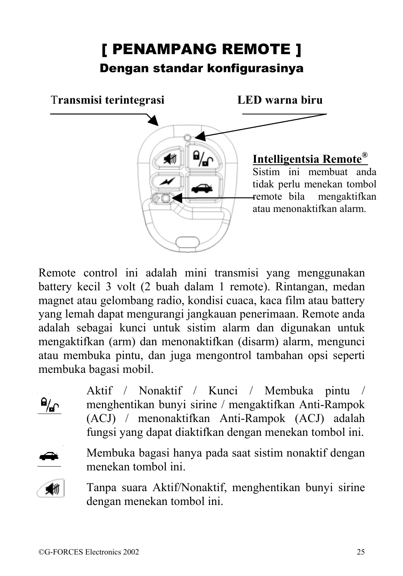# [ PENAMPANG REMOTE ] Dengan standar konfigurasinya



Remote control ini adalah mini transmisi yang menggunakan battery kecil 3 volt (2 buah dalam 1 remote). Rintangan, medan magnet atau gelombang radio, kondisi cuaca, kaca film atau battery yang lemah dapat mengurangi jangkauan penerimaan. Remote anda adalah sebagai kunci untuk sistim alarm dan digunakan untuk mengaktifkan (arm) dan menonaktifkan (disarm) alarm, mengunci atau membuka pintu, dan juga mengontrol tambahan opsi seperti membuka bagasi mobil.

> Aktif / Nonaktif / Kunci / Membuka pintu / menghentikan bunyi sirine / mengaktifkan Anti-Rampok (ACJ) / menonaktifkan Anti-Rampok (ACJ) adalah fungsi yang dapat diaktifkan dengan menekan tombol ini.



 $\mathbf{a}_{\mathbf{n}}$ 

Membuka bagasi hanya pada saat sistim nonaktif dengan menekan tombol ini.



Tanpa suara Aktif/Nonaktif, menghentikan bunyi sirine dengan menekan tombol ini.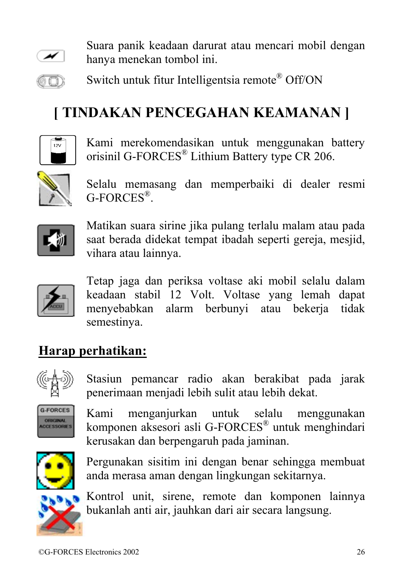

Suara panik keadaan darurat atau mencari mobil dengan hanya menekan tombol ini.

 Switch untuk fitur Intelligentsia remote® Off/ON 60)

# **[ TINDAKAN PENCEGAHAN KEAMANAN ]**



Kami merekomendasikan untuk menggunakan battery orisinil G-FORCES® Lithium Battery type CR 206.



Selalu memasang dan memperbaiki di dealer resmi G-FORCES®.



Matikan suara sirine jika pulang terlalu malam atau pada saat berada didekat tempat ibadah seperti gereja, mesjid, vihara atau lainnya.



Tetap jaga dan periksa voltase aki mobil selalu dalam keadaan stabil 12 Volt. Voltase yang lemah dapat menyebabkan alarm berbunyi atau bekerja tidak semestinya.

### **Harap perhatikan:**



Stasiun pemancar radio akan berakibat pada jarak penerimaan menjadi lebih sulit atau lebih dekat.



Kami menganjurkan untuk selalu menggunakan komponen aksesori asli G-FORCES® untuk menghindari kerusakan dan berpengaruh pada jaminan.



Pergunakan sisitim ini dengan benar sehingga membuat anda merasa aman dengan lingkungan sekitarnya.



Kontrol unit, sirene, remote dan komponen lainnya bukanlah anti air, jauhkan dari air secara langsung.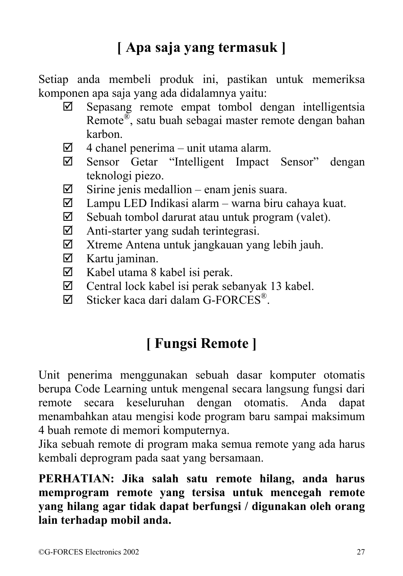# **[ Apa saja yang termasuk ]**

Setiap anda membeli produk ini, pastikan untuk memeriksa komponen apa saja yang ada didalamnya yaitu:

- $\boxtimes$  Sepasang remote empat tombol dengan intelligentsia Remote®, satu buah sebagai master remote dengan bahan karbon.
- $\boxtimes$  4 chanel penerima unit utama alarm.
- ; Sensor Getar "Intelligent Impact Sensor" dengan teknologi piezo.
- $\boxtimes$  Sirine jenis medallion enam jenis suara.
- $\boxtimes$  Lampu LED Indikasi alarm warna biru cahaya kuat.
- $\boxtimes$  Sebuah tombol darurat atau untuk program (valet).
- $\boxtimes$  Anti-starter yang sudah terintegrasi.
- $\boxtimes$  Xtreme Antena untuk jangkauan yang lebih jauh.
- $\boxtimes$  Kartu jaminan.
- $\boxtimes$  Kabel utama 8 kabel isi perak.
- $\boxtimes$  Central lock kabel isi perak sebanyak 13 kabel.
- $\boxtimes$  Sticker kaca dari dalam G-FORCES<sup>®</sup>.

## **[ Fungsi Remote ]**

Unit penerima menggunakan sebuah dasar komputer otomatis berupa Code Learning untuk mengenal secara langsung fungsi dari keseluruhan dengan otomatis. Anda dapat menambahkan atau mengisi kode program baru sampai maksimum 4 buah remote di memori komputernya.

Jika sebuah remote di program maka semua remote yang ada harus kembali deprogram pada saat yang bersamaan.

**PERHATIAN: Jika salah satu remote hilang, anda harus memprogram remote yang tersisa untuk mencegah remote yang hilang agar tidak dapat berfungsi / digunakan oleh orang lain terhadap mobil anda.**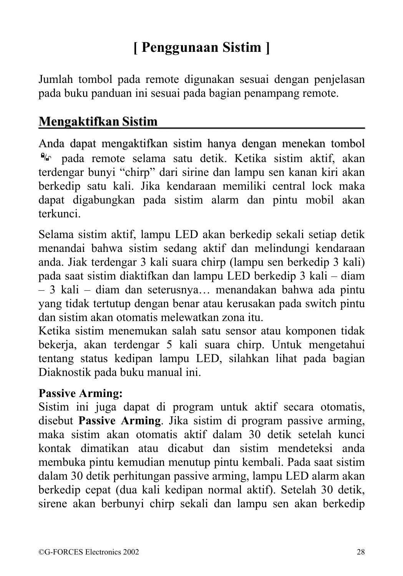# **[ Penggunaan Sistim ]**

Jumlah tombol pada remote digunakan sesuai dengan penjelasan pada buku panduan ini sesuai pada bagian penampang remote.

#### **Mengaktifkan Sistim\_\_\_\_\_\_\_\_\_\_\_\_\_\_\_\_\_\_\_\_\_\_\_\_\_\_\_\_\_\_\_**

Anda dapat mengaktifkan sistim hanya dengan menekan tombol  $\frac{a}{b}$  nada remote selama satu detik. Ketika sistim aktif, akan terdengar bunyi "chirp" dari sirine dan lampu sen kanan kiri akan berkedip satu kali. Jika kendaraan memiliki central lock maka dapat digabungkan pada sistim alarm dan pintu mobil akan terkunci.

Selama sistim aktif, lampu LED akan berkedip sekali setiap detik menandai bahwa sistim sedang aktif dan melindungi kendaraan anda. Jiak terdengar 3 kali suara chirp (lampu sen berkedip 3 kali) pada saat sistim diaktifkan dan lampu LED berkedip 3 kali – diam – 3 kali – diam dan seterusnya… menandakan bahwa ada pintu yang tidak tertutup dengan benar atau kerusakan pada switch pintu dan sistim akan otomatis melewatkan zona itu.

Ketika sistim menemukan salah satu sensor atau komponen tidak bekerja, akan terdengar 5 kali suara chirp. Untuk mengetahui tentang status kedipan lampu LED, silahkan lihat pada bagian Diaknostik pada buku manual ini.

#### **Passive Arming:**

Sistim ini juga dapat di program untuk aktif secara otomatis, disebut **Passive Arming**. Jika sistim di program passive arming, maka sistim akan otomatis aktif dalam 30 detik setelah kunci kontak dimatikan atau dicabut dan sistim mendeteksi anda membuka pintu kemudian menutup pintu kembali. Pada saat sistim dalam 30 detik perhitungan passive arming, lampu LED alarm akan berkedip cepat (dua kali kedipan normal aktif). Setelah 30 detik, sirene akan berbunyi chirp sekali dan lampu sen akan berkedip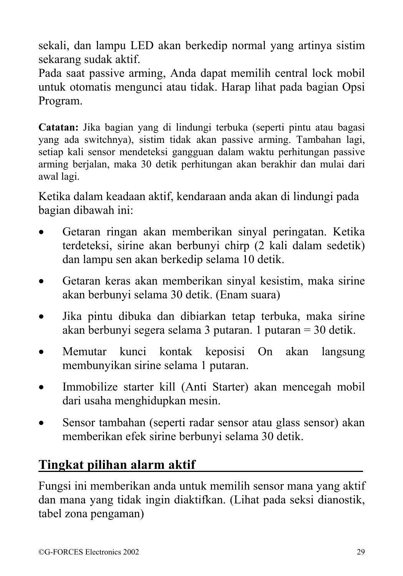sekali, dan lampu LED akan berkedip normal yang artinya sistim sekarang sudak aktif.

Pada saat passive arming, Anda dapat memilih central lock mobil untuk otomatis mengunci atau tidak. Harap lihat pada bagian Opsi Program.

**Catatan:** Jika bagian yang di lindungi terbuka (seperti pintu atau bagasi yang ada switchnya), sistim tidak akan passive arming. Tambahan lagi, setiap kali sensor mendeteksi gangguan dalam waktu perhitungan passive arming berjalan, maka 30 detik perhitungan akan berakhir dan mulai dari awal lagi.

Ketika dalam keadaan aktif, kendaraan anda akan di lindungi pada bagian dibawah ini:

- Getaran ringan akan memberikan sinyal peringatan. Ketika terdeteksi, sirine akan berbunyi chirp (2 kali dalam sedetik) dan lampu sen akan berkedip selama 10 detik.
- Getaran keras akan memberikan sinyal kesistim, maka sirine akan berbunyi selama 30 detik. (Enam suara)
- Jika pintu dibuka dan dibiarkan tetap terbuka, maka sirine akan berbunyi segera selama 3 putaran. 1 putaran = 30 detik.
- Memutar kunci kontak keposisi On akan langsung membunyikan sirine selama 1 putaran.
- Immobilize starter kill (Anti Starter) akan mencegah mobil dari usaha menghidupkan mesin.
- Sensor tambahan (seperti radar sensor atau glass sensor) akan memberikan efek sirine berbunyi selama 30 detik.

#### **Tingkat pilihan alarm aktif\_\_\_\_\_\_\_\_\_\_\_\_\_\_\_\_\_\_\_\_\_\_\_\_\_**

Fungsi ini memberikan anda untuk memilih sensor mana yang aktif dan mana yang tidak ingin diaktifkan. (Lihat pada seksi dianostik, tabel zona pengaman)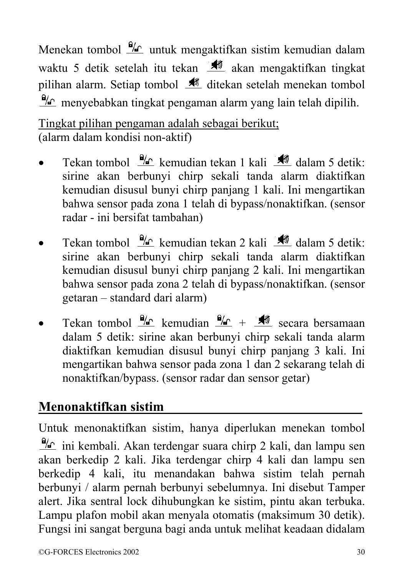Menekan tombol  $\frac{0}{2}$  untuk mengaktifkan sistim kemudian dalam waktu 5 detik setelah itu tekan  $\mathcal{H}$  akan mengaktifkan tingkat pilihan alarm. Setiap tombol  $\mathcal{M}$  ditekan setelah menekan tombol  $\frac{a}{c}$  menyebabkan tingkat pengaman alarm yang lain telah dipilih.

Tingkat pilihan pengaman adalah sebagai berikut; (alarm dalam kondisi non-aktif)

- Tekan tombol  $\frac{9}{4}$  kemudian tekan 1 kali  $\frac{1}{4}$  dalam 5 detik: sirine akan berbunyi chirp sekali tanda alarm diaktifkan kemudian disusul bunyi chirp panjang 1 kali. Ini mengartikan bahwa sensor pada zona 1 telah di bypass/nonaktifkan. (sensor radar - ini bersifat tambahan)
- Tekan tombol  $\frac{9}{4}$  kemudian tekan 2 kali  $\frac{1}{4}$  dalam 5 detik: sirine akan berbunyi chirp sekali tanda alarm diaktifkan kemudian disusul bunyi chirp panjang 2 kali. Ini mengartikan bahwa sensor pada zona 2 telah di bypass/nonaktifkan. (sensor getaran – standard dari alarm)
- Tekan tombol  $\frac{\Theta_{\text{AC}}}{\text{K}}$  kemudian  $\frac{\Theta_{\text{AC}}}{\text{K}}$  +  $\frac{\Theta_{\text{AC}}}{\text{K}}$  secara bersamaan dalam 5 detik: sirine akan berbunyi chirp sekali tanda alarm diaktifkan kemudian disusul bunyi chirp panjang 3 kali. Ini mengartikan bahwa sensor pada zona 1 dan 2 sekarang telah di nonaktifkan/bypass. (sensor radar dan sensor getar)

### **Menonaktifkan sistim \_\_\_\_\_\_\_\_\_\_\_\_\_\_\_\_\_\_\_\_\_\_\_\_\_\_\_\_\_**

Untuk menonaktifkan sistim, hanya diperlukan menekan tombol  $\frac{d\mathcal{L}}{dt}$  ini kembali. Akan terdengar suara chirp 2 kali, dan lampu sen akan berkedip 2 kali. Jika terdengar chirp 4 kali dan lampu sen berkedip 4 kali, itu menandakan bahwa sistim telah pernah berbunyi / alarm pernah berbunyi sebelumnya. Ini disebut Tamper alert. Jika sentral lock dihubungkan ke sistim, pintu akan terbuka. Lampu plafon mobil akan menyala otomatis (maksimum 30 detik). Fungsi ini sangat berguna bagi anda untuk melihat keadaan didalam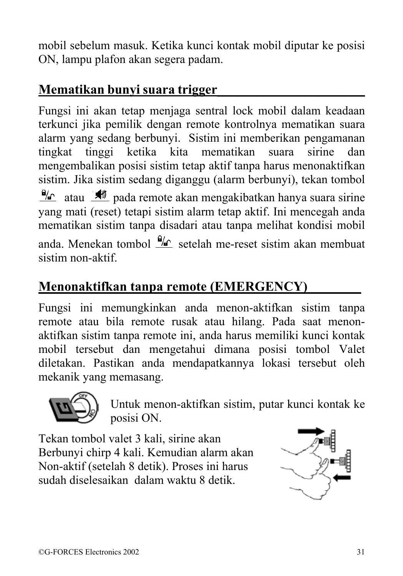mobil sebelum masuk. Ketika kunci kontak mobil diputar ke posisi ON, lampu plafon akan segera padam.

#### **Mematikan bunyi suara trigger\_\_\_\_\_\_\_\_\_\_\_\_\_\_\_\_\_\_\_\_\_\_**

Fungsi ini akan tetap menjaga sentral lock mobil dalam keadaan terkunci jika pemilik dengan remote kontrolnya mematikan suara alarm yang sedang berbunyi. Sistim ini memberikan pengamanan tingkat tinggi ketika kita mematikan suara sirine dan mengembalikan posisi sistim tetap aktif tanpa harus menonaktifkan sistim. Jika sistim sedang diganggu (alarm berbunyi), tekan tombol  $\frac{a}{c}$  atau  $\frac{a}{c}$  pada remote akan mengakibatkan hanya suara sirine yang mati (reset) tetapi sistim alarm tetap aktif. Ini mencegah anda mematikan sistim tanpa disadari atau tanpa melihat kondisi mobil anda. Menekan tombol  $\frac{a}{n}$  setelah me-reset sistim akan membuat

## **Menonaktifkan tanpa remote (EMERGENCY)\_\_\_\_\_\_\_\_**

Fungsi ini memungkinkan anda menon-aktifkan sistim tanpa remote atau bila remote rusak atau hilang. Pada saat menonaktifkan sistim tanpa remote ini, anda harus memiliki kunci kontak mobil tersebut dan mengetahui dimana posisi tombol Valet diletakan. Pastikan anda mendapatkannya lokasi tersebut oleh mekanik yang memasang.



sistim non-aktif.

Untuk menon-aktifkan sistim, putar kunci kontak ke posisi ON.

Tekan tombol valet 3 kali, sirine akan Berbunyi chirp 4 kali. Kemudian alarm akan Non-aktif (setelah 8 detik). Proses ini harus sudah diselesaikan dalam waktu 8 detik.

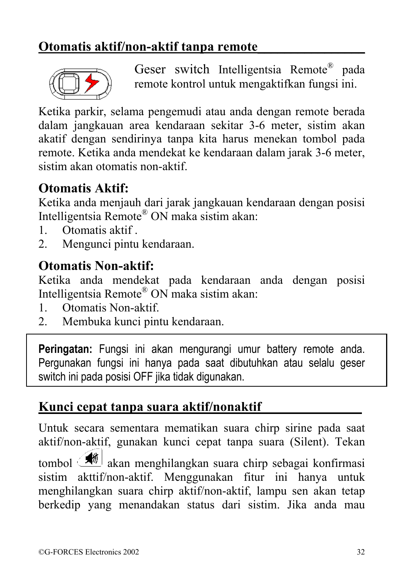#### **Otomatis aktif/non-aktif tanpa remote\_\_\_\_\_\_\_\_\_\_\_\_\_\_\_\_**



 Geser switch Intelligentsia Remote® pada remote kontrol untuk mengaktifkan fungsi ini.

Ketika parkir, selama pengemudi atau anda dengan remote berada dalam jangkauan area kendaraan sekitar 3-6 meter, sistim akan akatif dengan sendirinya tanpa kita harus menekan tombol pada remote. Ketika anda mendekat ke kendaraan dalam jarak 3-6 meter, sistim akan otomatis non-aktif.

#### **Otomatis Aktif:**

Ketika anda menjauh dari jarak jangkauan kendaraan dengan posisi Intelligentsia Remote® ON maka sistim akan:

- 1. Otomatis aktif .
- 2. Mengunci pintu kendaraan.

#### **Otomatis Non-aktif:**

Ketika anda mendekat pada kendaraan anda dengan posisi Intelligentsia Remote® ON maka sistim akan:

- 1. Otomatis Non-aktif.
- 2. Membuka kunci pintu kendaraan.

**Peringatan:** Fungsi ini akan mengurangi umur battery remote anda. Pergunakan fungsi ini hanya pada saat dibutuhkan atau selalu geser switch ini pada posisi OFF jika tidak digunakan.

#### **Kunci cepat tanpa suara aktif/nonaktif\_\_\_\_\_\_\_\_\_\_\_\_\_\_\_**

Untuk secara sementara mematikan suara chirp sirine pada saat aktif/non-aktif, gunakan kunci cepat tanpa suara (Silent). Tekan tombol *om* akan menghilangkan suara chirp sebagai konfirmasi sistim akttif/non-aktif. Menggunakan fitur ini hanya untuk menghilangkan suara chirp aktif/non-aktif, lampu sen akan tetap berkedip yang menandakan status dari sistim. Jika anda mau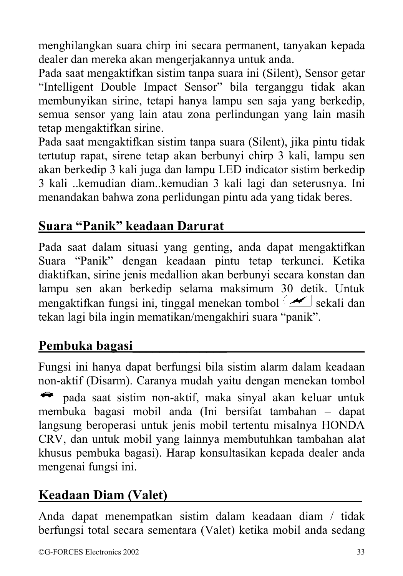menghilangkan suara chirp ini secara permanent, tanyakan kepada dealer dan mereka akan mengerjakannya untuk anda.

Pada saat mengaktifkan sistim tanpa suara ini (Silent), Sensor getar "Intelligent Double Impact Sensor" bila terganggu tidak akan membunyikan sirine, tetapi hanya lampu sen saja yang berkedip, semua sensor yang lain atau zona perlindungan yang lain masih tetap mengaktifkan sirine.

Pada saat mengaktifkan sistim tanpa suara (Silent), jika pintu tidak tertutup rapat, sirene tetap akan berbunyi chirp 3 kali, lampu sen akan berkedip 3 kali juga dan lampu LED indicator sistim berkedip 3 kali ..kemudian diam..kemudian 3 kali lagi dan seterusnya. Ini menandakan bahwa zona perlidungan pintu ada yang tidak beres.

#### **Suara "Panik" keadaan Darurat\_\_\_\_\_\_\_\_\_\_\_\_\_\_\_\_\_\_\_\_\_**

Pada saat dalam situasi yang genting, anda dapat mengaktifkan Suara "Panik" dengan keadaan pintu tetap terkunci. Ketika diaktifkan, sirine jenis medallion akan berbunyi secara konstan dan lampu sen akan berkedip selama maksimum 30 detik. Untuk mengaktifkan fungsi ini, tinggal menekan tombol sekali dan tekan lagi bila ingin mematikan/mengakhiri suara "panik".

#### **Pembuka bagasi\_\_\_\_\_\_\_\_\_\_\_\_\_\_\_\_\_\_\_\_\_\_\_\_\_\_\_\_\_\_\_\_\_\_\_\_\_**

Fungsi ini hanya dapat berfungsi bila sistim alarm dalam keadaan non-aktif (Disarm). Caranya mudah yaitu dengan menekan tombol pada saat sistim non-aktif, maka sinyal akan keluar untuk membuka bagasi mobil anda (Ini bersifat tambahan – dapat langsung beroperasi untuk jenis mobil tertentu misalnya HONDA CRV, dan untuk mobil yang lainnya membutuhkan tambahan alat khusus pembuka bagasi). Harap konsultasikan kepada dealer anda mengenai fungsi ini.

#### **Keadaan Diam (Valet)\_\_\_\_\_\_\_\_\_\_\_\_\_\_\_\_\_\_\_\_\_\_\_\_\_\_\_\_\_**

Anda dapat menempatkan sistim dalam keadaan diam / tidak berfungsi total secara sementara (Valet) ketika mobil anda sedang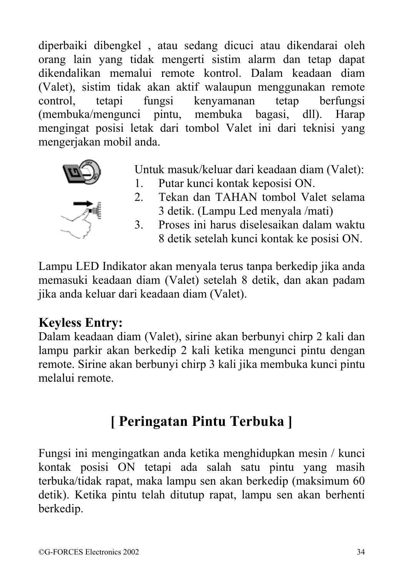diperbaiki dibengkel , atau sedang dicuci atau dikendarai oleh orang lain yang tidak mengerti sistim alarm dan tetap dapat dikendalikan memalui remote kontrol. Dalam keadaan diam (Valet), sistim tidak akan aktif walaupun menggunakan remote control, tetapi fungsi kenyamanan tetap berfungsi (membuka/mengunci pintu, membuka bagasi, dll). Harap mengingat posisi letak dari tombol Valet ini dari teknisi yang mengerjakan mobil anda.



- Untuk masuk/keluar dari keadaan diam (Valet):
- 1. Putar kunci kontak keposisi ON.
- 2. Tekan dan TAHAN tombol Valet selama 3 detik. (Lampu Led menyala /mati)
- 3. Proses ini harus diselesaikan dalam waktu 8 detik setelah kunci kontak ke posisi ON.

Lampu LED Indikator akan menyala terus tanpa berkedip jika anda memasuki keadaan diam (Valet) setelah 8 detik, dan akan padam jika anda keluar dari keadaan diam (Valet).

#### **Keyless Entry:**

Dalam keadaan diam (Valet), sirine akan berbunyi chirp 2 kali dan lampu parkir akan berkedip 2 kali ketika mengunci pintu dengan remote. Sirine akan berbunyi chirp 3 kali jika membuka kunci pintu melalui remote.

## **[ Peringatan Pintu Terbuka ]**

Fungsi ini mengingatkan anda ketika menghidupkan mesin / kunci kontak posisi ON tetapi ada salah satu pintu yang masih terbuka/tidak rapat, maka lampu sen akan berkedip (maksimum 60 detik). Ketika pintu telah ditutup rapat, lampu sen akan berhenti berkedip.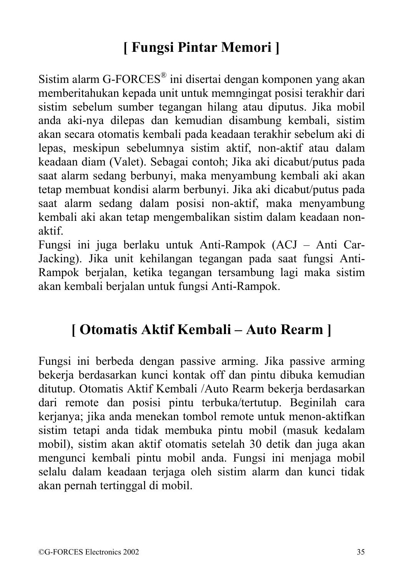## **[ Fungsi Pintar Memori ]**

Sistim alarm G-FORCES® ini disertai dengan komponen yang akan memberitahukan kepada unit untuk memngingat posisi terakhir dari sistim sebelum sumber tegangan hilang atau diputus. Jika mobil anda aki-nya dilepas dan kemudian disambung kembali, sistim akan secara otomatis kembali pada keadaan terakhir sebelum aki di lepas, meskipun sebelumnya sistim aktif, non-aktif atau dalam keadaan diam (Valet). Sebagai contoh; Jika aki dicabut/putus pada saat alarm sedang berbunyi, maka menyambung kembali aki akan tetap membuat kondisi alarm berbunyi. Jika aki dicabut/putus pada saat alarm sedang dalam posisi non-aktif, maka menyambung kembali aki akan tetap mengembalikan sistim dalam keadaan nonaktif.

Fungsi ini juga berlaku untuk Anti-Rampok (ACJ – Anti Car-Jacking). Jika unit kehilangan tegangan pada saat fungsi Anti-Rampok berjalan, ketika tegangan tersambung lagi maka sistim akan kembali berjalan untuk fungsi Anti-Rampok.

## **[ Otomatis Aktif Kembali – Auto Rearm ]**

Fungsi ini berbeda dengan passive arming. Jika passive arming bekerja berdasarkan kunci kontak off dan pintu dibuka kemudian ditutup. Otomatis Aktif Kembali /Auto Rearm bekerja berdasarkan dari remote dan posisi pintu terbuka/tertutup. Beginilah cara kerjanya; jika anda menekan tombol remote untuk menon-aktifkan sistim tetapi anda tidak membuka pintu mobil (masuk kedalam mobil), sistim akan aktif otomatis setelah 30 detik dan juga akan mengunci kembali pintu mobil anda. Fungsi ini menjaga mobil selalu dalam keadaan terjaga oleh sistim alarm dan kunci tidak akan pernah tertinggal di mobil.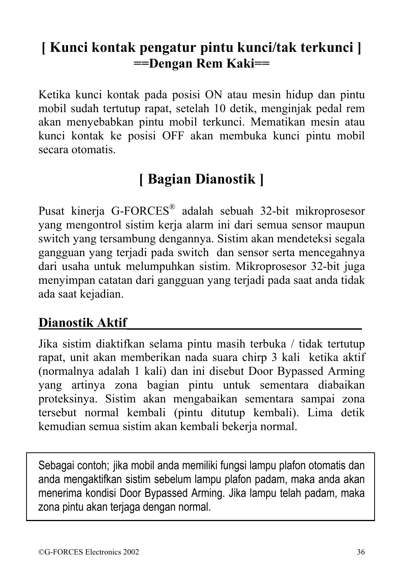## **[ Kunci kontak pengatur pintu kunci/tak terkunci ] ==Dengan Rem Kaki==**

Ketika kunci kontak pada posisi ON atau mesin hidup dan pintu mobil sudah tertutup rapat, setelah 10 detik, menginjak pedal rem akan menyebabkan pintu mobil terkunci. Mematikan mesin atau kunci kontak ke posisi OFF akan membuka kunci pintu mobil secara otomatis.

## **[ Bagian Dianostik ]**

Pusat kinerja G-FORCES® adalah sebuah 32-bit mikroprosesor yang mengontrol sistim kerja alarm ini dari semua sensor maupun switch yang tersambung dengannya. Sistim akan mendeteksi segala gangguan yang terjadi pada switch dan sensor serta mencegahnya dari usaha untuk melumpuhkan sistim. Mikroprosesor 32-bit juga menyimpan catatan dari gangguan yang terjadi pada saat anda tidak ada saat kejadian.

#### **Dianostik Aktif\_\_\_\_\_\_\_\_\_\_\_\_\_\_\_\_\_\_\_\_\_\_\_\_\_\_\_\_\_\_\_\_\_\_\_**

Jika sistim diaktifkan selama pintu masih terbuka / tidak tertutup rapat, unit akan memberikan nada suara chirp 3 kali ketika aktif (normalnya adalah 1 kali) dan ini disebut Door Bypassed Arming yang artinya zona bagian pintu untuk sementara diabaikan proteksinya. Sistim akan mengabaikan sementara sampai zona tersebut normal kembali (pintu ditutup kembali). Lima detik kemudian semua sistim akan kembali bekerja normal.

Sebagai contoh; jika mobil anda memiliki fungsi lampu plafon otomatis dan anda mengaktifkan sistim sebelum lampu plafon padam, maka anda akan menerima kondisi Door Bypassed Arming. Jika lampu telah padam, maka zona pintu akan terjaga dengan normal.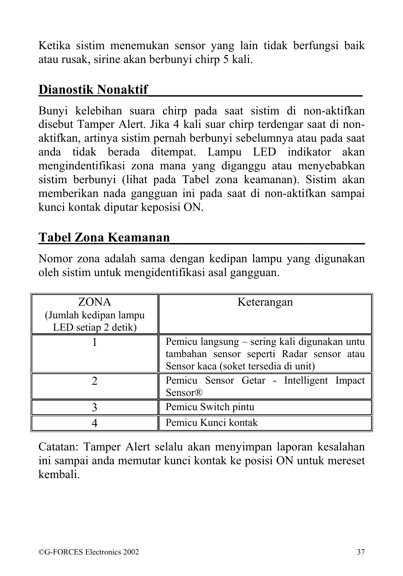Ketika sistim menemukan sensor yang lain tidak berfungsi baik atau rusak, sirine akan berbunyi chirp 5 kali.

#### **Dianostik Nonaktif\_\_\_\_\_\_\_\_\_\_\_\_\_\_\_\_\_\_\_\_\_\_\_\_\_\_\_\_\_\_\_\_**

Bunyi kelebihan suara chirp pada saat sistim di non-aktifkan disebut Tamper Alert. Jika 4 kali suar chirp terdengar saat di nonaktifkan, artinya sistim pernah berbunyi sebelumnya atau pada saat anda tidak berada ditempat. Lampu LED indikator akan mengindentifikasi zona mana yang diganggu atau menyebabkan sistim berbunyi (lihat pada Tabel zona keamanan). Sistim akan memberikan nada gangguan ini pada saat di non-aktifkan sampai kunci kontak diputar keposisi ON.

#### **Tabel Zona Keamanan\_\_\_\_\_\_\_\_\_\_\_\_\_\_\_\_\_\_\_\_\_\_\_\_\_\_\_\_\_**

Nomor zona adalah sama dengan kedipan lampu yang digunakan oleh sistim untuk mengidentifikasi asal gangguan.

| <b>ZONA</b><br>(Jumlah kedipan lampu<br>LED setiap 2 detik) | Keterangan                                                                                                                        |
|-------------------------------------------------------------|-----------------------------------------------------------------------------------------------------------------------------------|
|                                                             | Pemicu langsung – sering kali digunakan untu<br>tambahan sensor seperti Radar sensor atau<br>Sensor kaca (soket tersedia di unit) |
|                                                             | Pemicu Sensor Getar - Intelligent Impact<br>Sensor®                                                                               |
|                                                             | Pemicu Switch pintu                                                                                                               |
|                                                             | Pemicu Kunci kontak                                                                                                               |

Catatan: Tamper Alert selalu akan menyimpan laporan kesalahan ini sampai anda memutar kunci kontak ke posisi ON untuk mereset kembali.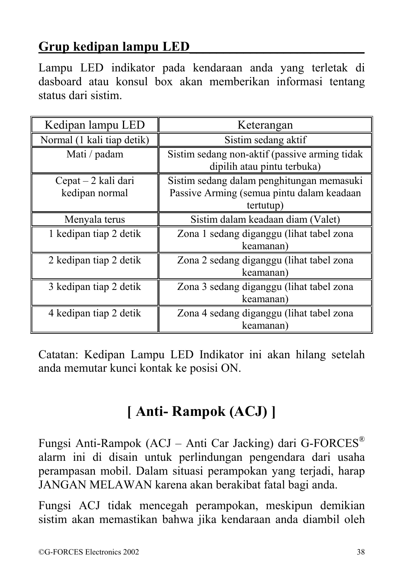#### **Grup kedipan lampu LED\_\_\_\_\_\_\_\_\_\_\_\_\_\_\_\_\_\_\_\_\_\_\_\_\_\_**

Lampu LED indikator pada kendaraan anda yang terletak di dasboard atau konsul box akan memberikan informasi tentang status dari sistim.

| Kedipan lampu LED                     | Keterangan                                                                                          |
|---------------------------------------|-----------------------------------------------------------------------------------------------------|
| Normal (1 kali tiap detik)            | Sistim sedang aktif                                                                                 |
| Mati / padam                          | Sistim sedang non-aktif (passive arming tidak<br>dipilih atau pintu terbuka)                        |
| Cepat – 2 kali dari<br>kedipan normal | Sistim sedang dalam penghitungan memasuki<br>Passive Arming (semua pintu dalam keadaan<br>tertutup) |
| Menyala terus                         | Sistim dalam keadaan diam (Valet)                                                                   |
| 1 kedipan tiap 2 detik                | Zona 1 sedang diganggu (lihat tabel zona<br>keamanan)                                               |
| 2 kedipan tiap 2 detik                | Zona 2 sedang diganggu (lihat tabel zona<br>keamanan)                                               |
| 3 kedipan tiap 2 detik                | Zona 3 sedang diganggu (lihat tabel zona<br>keamanan)                                               |
| 4 kedipan tiap 2 detik                | Zona 4 sedang diganggu (lihat tabel zona<br>keamanan)                                               |

Catatan: Kedipan Lampu LED Indikator ini akan hilang setelah anda memutar kunci kontak ke posisi ON.

## **[ Anti- Rampok (ACJ) ]**

Fungsi Anti-Rampok (ACJ – Anti Car Jacking) dari G-FORCES® alarm ini di disain untuk perlindungan pengendara dari usaha perampasan mobil. Dalam situasi perampokan yang terjadi, harap JANGAN MELAWAN karena akan berakibat fatal bagi anda.

Fungsi ACJ tidak mencegah perampokan, meskipun demikian sistim akan memastikan bahwa jika kendaraan anda diambil oleh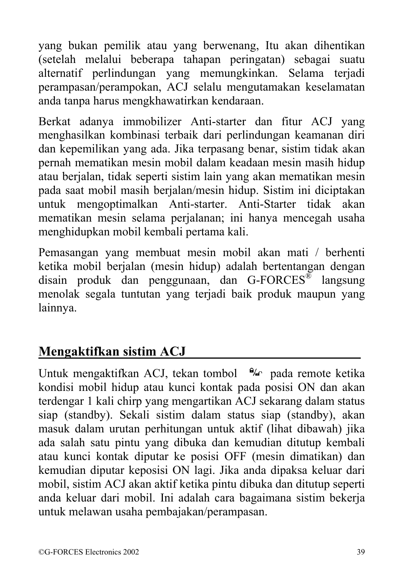yang bukan pemilik atau yang berwenang, Itu akan dihentikan (setelah melalui beberapa tahapan peringatan) sebagai suatu alternatif perlindungan yang memungkinkan. Selama terjadi perampasan/perampokan, ACJ selalu mengutamakan keselamatan anda tanpa harus mengkhawatirkan kendaraan.

Berkat adanya immobilizer Anti-starter dan fitur ACJ yang menghasilkan kombinasi terbaik dari perlindungan keamanan diri dan kepemilikan yang ada. Jika terpasang benar, sistim tidak akan pernah mematikan mesin mobil dalam keadaan mesin masih hidup atau berjalan, tidak seperti sistim lain yang akan mematikan mesin pada saat mobil masih berjalan/mesin hidup. Sistim ini diciptakan untuk mengoptimalkan Anti-starter. Anti-Starter tidak akan mematikan mesin selama perjalanan; ini hanya mencegah usaha menghidupkan mobil kembali pertama kali.

Pemasangan yang membuat mesin mobil akan mati / berhenti ketika mobil berjalan (mesin hidup) adalah bertentangan dengan disain produk dan penggunaan, dan G-FORCES® langsung menolak segala tuntutan yang terjadi baik produk maupun yang lainnya.

#### **Mengaktifkan sistim ACJ\_\_\_\_\_\_\_\_\_\_\_\_\_\_\_\_\_\_\_\_\_\_\_\_\_\_**

Untuk mengaktifkan ACJ, tekan tombol  $\frac{9}{6}$  pada remote ketika kondisi mobil hidup atau kunci kontak pada posisi ON dan akan terdengar 1 kali chirp yang mengartikan ACJ sekarang dalam status siap (standby). Sekali sistim dalam status siap (standby), akan masuk dalam urutan perhitungan untuk aktif (lihat dibawah) jika ada salah satu pintu yang dibuka dan kemudian ditutup kembali atau kunci kontak diputar ke posisi OFF (mesin dimatikan) dan kemudian diputar keposisi ON lagi. Jika anda dipaksa keluar dari mobil, sistim ACJ akan aktif ketika pintu dibuka dan ditutup seperti anda keluar dari mobil. Ini adalah cara bagaimana sistim bekerja untuk melawan usaha pembajakan/perampasan.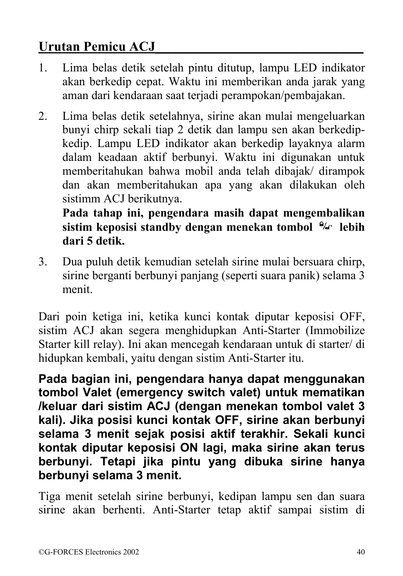#### **Urutan Pemicu ACJ\_\_\_\_\_\_\_\_\_\_\_\_\_\_\_\_\_\_\_\_\_\_\_\_\_\_\_\_\_\_\_**

- 1. Lima belas detik setelah pintu ditutup, lampu LED indikator akan berkedip cepat. Waktu ini memberikan anda jarak yang aman dari kendaraan saat terjadi perampokan/pembajakan.
- 2. Lima belas detik setelahnya, sirine akan mulai mengeluarkan bunyi chirp sekali tiap 2 detik dan lampu sen akan berkedipkedip. Lampu LED indikator akan berkedip layaknya alarm dalam keadaan aktif berbunyi. Waktu ini digunakan untuk memberitahukan bahwa mobil anda telah dibajak/ dirampok dan akan memberitahukan apa yang akan dilakukan oleh sistimm ACJ berikutnya.

**Pada tahap ini, pengendara masih dapat mengembalikan sistim keposisi standby dengan menekan tombol <sup>** $\mathbf{a}_{\alpha}$ **</sup> lebih dari 5 detik.**

3. Dua puluh detik kemudian setelah sirine mulai bersuara chirp, sirine berganti berbunyi panjang (seperti suara panik) selama 3 menit.

Dari poin ketiga ini, ketika kunci kontak diputar keposisi OFF, sistim ACJ akan segera menghidupkan Anti-Starter (Immobilize Starter kill relay). Ini akan mencegah kendaraan untuk di starter/ di hidupkan kembali, yaitu dengan sistim Anti-Starter itu.

**Pada bagian ini, pengendara hanya dapat menggunakan tombol Valet (emergency switch valet) untuk mematikan /keluar dari sistim ACJ (dengan menekan tombol valet 3 kali). Jika posisi kunci kontak OFF, sirine akan berbunyi selama 3 menit sejak posisi aktif terakhir. Sekali kunci kontak diputar keposisi ON lagi, maka sirine akan terus berbunyi. Tetapi jika pintu yang dibuka sirine hanya berbunyi selama 3 menit.** 

Tiga menit setelah sirine berbunyi, kedipan lampu sen dan suara sirine akan berhenti. Anti-Starter tetap aktif sampai sistim di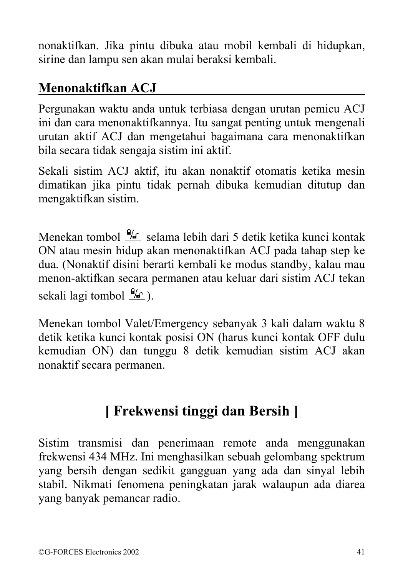nonaktifkan. Jika pintu dibuka atau mobil kembali di hidupkan, sirine dan lampu sen akan mulai beraksi kembali.

#### **Menonaktifkan ACJ\_\_\_\_\_\_\_\_\_\_\_\_\_\_\_\_\_\_\_\_\_\_\_\_\_\_\_\_\_\_\_**

Pergunakan waktu anda untuk terbiasa dengan urutan pemicu ACJ ini dan cara menonaktifkannya. Itu sangat penting untuk mengenali urutan aktif ACJ dan mengetahui bagaimana cara menonaktifkan bila secara tidak sengaja sistim ini aktif.

Sekali sistim ACJ aktif, itu akan nonaktif otomatis ketika mesin dimatikan jika pintu tidak pernah dibuka kemudian ditutup dan mengaktifkan sistim.

Menekan tombol  $\frac{9}{6}$  selama lebih dari 5 detik ketika kunci kontak ON atau mesin hidup akan menonaktifkan ACJ pada tahap step ke dua. (Nonaktif disini berarti kembali ke modus standby, kalau mau menon-aktifkan secara permanen atau keluar dari sistim ACJ tekan sekali lagi tombol  $\frac{\Theta_{\text{AC}}}{\Theta}$ ).

Menekan tombol Valet/Emergency sebanyak 3 kali dalam waktu 8 detik ketika kunci kontak posisi ON (harus kunci kontak OFF dulu kemudian ON) dan tunggu 8 detik kemudian sistim ACJ akan nonaktif secara permanen.

## **[ Frekwensi tinggi dan Bersih ]**

Sistim transmisi dan penerimaan remote anda menggunakan frekwensi 434 MHz. Ini menghasilkan sebuah gelombang spektrum yang bersih dengan sedikit gangguan yang ada dan sinyal lebih stabil. Nikmati fenomena peningkatan jarak walaupun ada diarea yang banyak pemancar radio.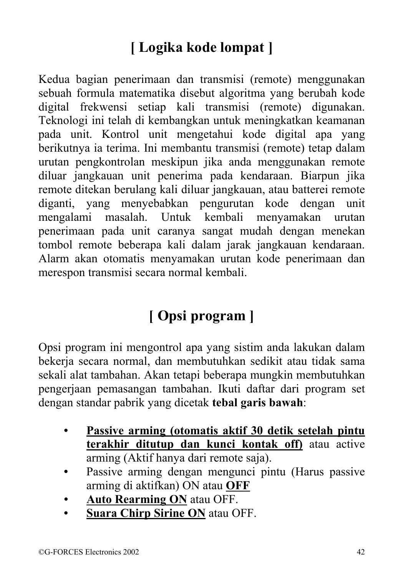# **[ Logika kode lompat ]**

Kedua bagian penerimaan dan transmisi (remote) menggunakan sebuah formula matematika disebut algoritma yang berubah kode digital frekwensi setiap kali transmisi (remote) digunakan. Teknologi ini telah di kembangkan untuk meningkatkan keamanan pada unit. Kontrol unit mengetahui kode digital apa yang berikutnya ia terima. Ini membantu transmisi (remote) tetap dalam urutan pengkontrolan meskipun jika anda menggunakan remote diluar jangkauan unit penerima pada kendaraan. Biarpun jika remote ditekan berulang kali diluar jangkauan, atau batterei remote diganti, yang menyebabkan pengurutan kode dengan unit mengalami masalah. Untuk kembali menyamakan urutan penerimaan pada unit caranya sangat mudah dengan menekan tombol remote beberapa kali dalam jarak jangkauan kendaraan. Alarm akan otomatis menyamakan urutan kode penerimaan dan merespon transmisi secara normal kembali.

# **[ Opsi program ]**

Opsi program ini mengontrol apa yang sistim anda lakukan dalam bekerja secara normal, dan membutuhkan sedikit atau tidak sama sekali alat tambahan. Akan tetapi beberapa mungkin membutuhkan pengerjaan pemasangan tambahan. Ikuti daftar dari program set dengan standar pabrik yang dicetak **tebal garis bawah**:

- **Passive arming (otomatis aktif 30 detik setelah pintu terakhir ditutup dan kunci kontak off)** atau active arming (Aktif hanya dari remote saja).
- Passive arming dengan mengunci pintu (Harus passive arming di aktifkan) ON atau **OFF**
- **Auto Rearming ON** atau OFF.
- **Suara Chirp Sirine ON** atau OFF.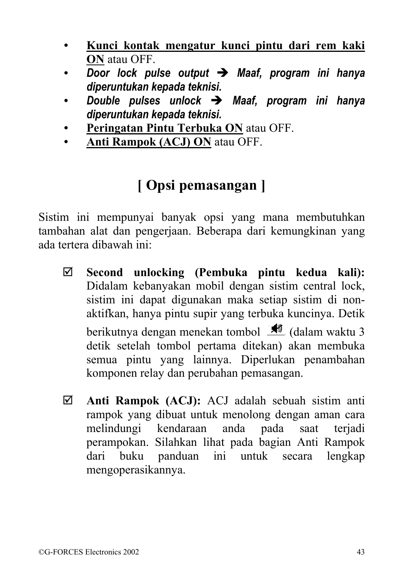- **Kunci kontak mengatur kunci pintu dari rem kaki ON** atau OFF.
- *Door lock pulse output* Î *Maaf, program ini hanya diperuntukan kepada teknisi.*
- *Double pulses unlock* Î *Maaf, program ini hanya diperuntukan kepada teknisi.*
- **Peringatan Pintu Terbuka ON** atau OFF.
- **Anti Rampok (ACJ) ON** atau OFF.

## **[ Opsi pemasangan ]**

Sistim ini mempunyai banyak opsi yang mana membutuhkan tambahan alat dan pengerjaan. Beberapa dari kemungkinan yang ada tertera dibawah ini:

- ; **Second unlocking (Pembuka pintu kedua kali):** Didalam kebanyakan mobil dengan sistim central lock, sistim ini dapat digunakan maka setiap sistim di nonaktifkan, hanya pintu supir yang terbuka kuncinya. Detik berikutnya dengan menekan tombol  $\frac{1}{\sqrt{2}}$  (dalam waktu 3) detik setelah tombol pertama ditekan) akan membuka semua pintu yang lainnya. Diperlukan penambahan komponen relay dan perubahan pemasangan.
- ; **Anti Rampok (ACJ):** ACJ adalah sebuah sistim anti rampok yang dibuat untuk menolong dengan aman cara melindungi kendaraan anda pada saat terjadi perampokan. Silahkan lihat pada bagian Anti Rampok dari buku panduan ini untuk secara lengkap mengoperasikannya.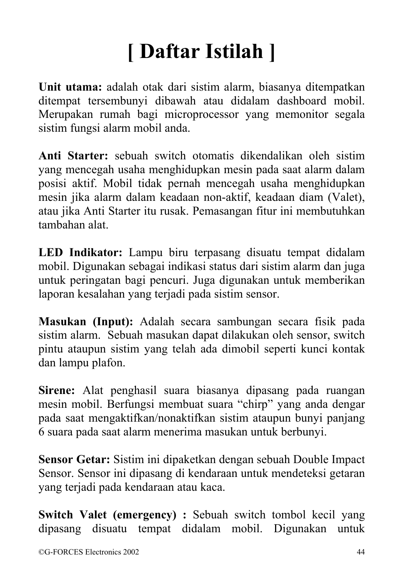# **[ Daftar Istilah ]**

**Unit utama:** adalah otak dari sistim alarm, biasanya ditempatkan ditempat tersembunyi dibawah atau didalam dashboard mobil. Merupakan rumah bagi microprocessor yang memonitor segala sistim fungsi alarm mobil anda.

**Anti Starter:** sebuah switch otomatis dikendalikan oleh sistim yang mencegah usaha menghidupkan mesin pada saat alarm dalam posisi aktif. Mobil tidak pernah mencegah usaha menghidupkan mesin jika alarm dalam keadaan non-aktif, keadaan diam (Valet), atau jika Anti Starter itu rusak. Pemasangan fitur ini membutuhkan tambahan alat.

**LED Indikator:** Lampu biru terpasang disuatu tempat didalam mobil. Digunakan sebagai indikasi status dari sistim alarm dan juga untuk peringatan bagi pencuri. Juga digunakan untuk memberikan laporan kesalahan yang terjadi pada sistim sensor.

**Masukan (Input):** Adalah secara sambungan secara fisik pada sistim alarm. Sebuah masukan dapat dilakukan oleh sensor, switch pintu ataupun sistim yang telah ada dimobil seperti kunci kontak dan lampu plafon.

**Sirene:** Alat penghasil suara biasanya dipasang pada ruangan mesin mobil. Berfungsi membuat suara "chirp" yang anda dengar pada saat mengaktifkan/nonaktifkan sistim ataupun bunyi panjang 6 suara pada saat alarm menerima masukan untuk berbunyi.

**Sensor Getar:** Sistim ini dipaketkan dengan sebuah Double Impact Sensor. Sensor ini dipasang di kendaraan untuk mendeteksi getaran yang terjadi pada kendaraan atau kaca.

**Switch Valet (emergency) :** Sebuah switch tombol kecil yang dipasang disuatu tempat didalam mobil. Digunakan untuk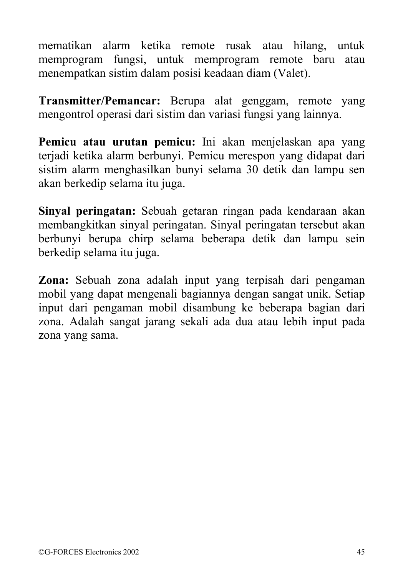mematikan alarm ketika remote rusak atau hilang, untuk memprogram fungsi, untuk memprogram remote baru atau menempatkan sistim dalam posisi keadaan diam (Valet).

**Transmitter/Pemancar:** Berupa alat genggam, remote yang mengontrol operasi dari sistim dan variasi fungsi yang lainnya.

**Pemicu atau urutan pemicu:** Ini akan menjelaskan apa yang terjadi ketika alarm berbunyi. Pemicu merespon yang didapat dari sistim alarm menghasilkan bunyi selama 30 detik dan lampu sen akan berkedip selama itu juga.

**Sinyal peringatan:** Sebuah getaran ringan pada kendaraan akan membangkitkan sinyal peringatan. Sinyal peringatan tersebut akan berbunyi berupa chirp selama beberapa detik dan lampu sein berkedip selama itu juga.

**Zona:** Sebuah zona adalah input yang terpisah dari pengaman mobil yang dapat mengenali bagiannya dengan sangat unik. Setiap input dari pengaman mobil disambung ke beberapa bagian dari zona. Adalah sangat jarang sekali ada dua atau lebih input pada zona yang sama.